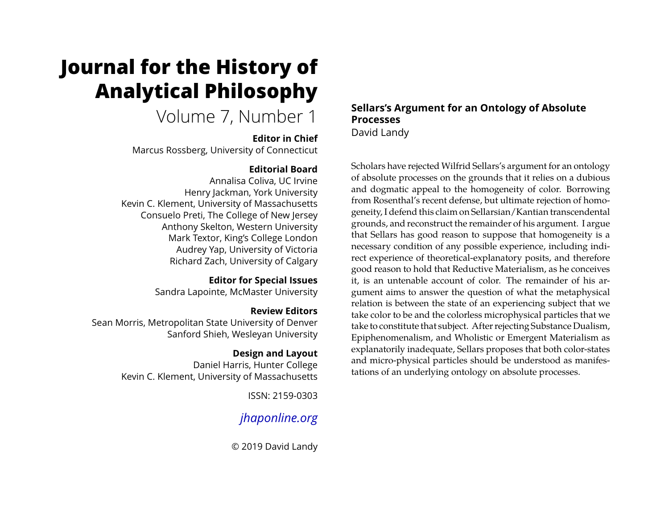# **Journal for the History of Analytical Philosophy**

## Volume 7, Number 1

## **Editor in Chief**

Marcus Rossberg, University of Connecticut

## **Editorial Board**

Annalisa Coliva, UC Irvine Henry Jackman, York University Kevin C. Klement, University of Massachusetts Consuelo Preti, The College of New Jersey Anthony Skelton, Western University Mark Textor, King's College London Audrey Yap, University of Victoria Richard Zach, University of Calgary

## **Editor for Special Issues**

Sandra Lapointe, McMaster University

## **Review Editors**

Sean Morris, Metropolitan State University of Denver Sanford Shieh, Wesleyan University

## **Design and Layout**

Daniel Harris, Hunter College Kevin C. Klement, University of Massachusetts

ISSN: 2159-0303

## *[jhaponline.org](https://jhaponline.org)*

© 2019 David Landy

## **Sellars's Argument for an Ontology of Absolute Processes** David Landy

Scholars have rejected Wilfrid Sellars's argument for an ontology of absolute processes on the grounds that it relies on a dubious and dogmatic appeal to the homogeneity of color. Borrowing from Rosenthal's recent defense, but ultimate rejection of homogeneity, I defend this claim on Sellarsian/Kantian transcendental grounds, and reconstruct the remainder of his argument. I argue that Sellars has good reason to suppose that homogeneity is a necessary condition of any possible experience, including indirect experience of theoretical-explanatory posits, and therefore good reason to hold that Reductive Materialism, as he conceives it, is an untenable account of color. The remainder of his argument aims to answer the question of what the metaphysical relation is between the state of an experiencing subject that we take color to be and the colorless microphysical particles that we take to constitute that subject. After rejecting Substance Dualism, Epiphenomenalism, and Wholistic or Emergent Materialism as explanatorily inadequate, Sellars proposes that both color-states and micro-physical particles should be understood as manifestations of an underlying ontology on absolute processes.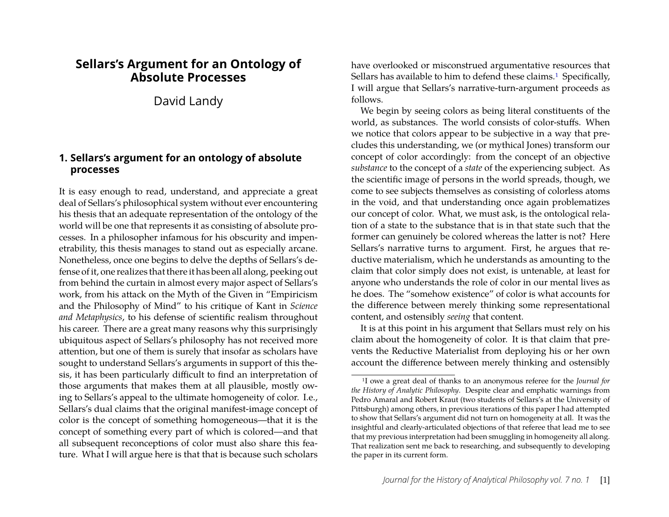## **Sellars's Argument for an Ontology of Absolute Processes**

David Landy

## **1. Sellars's argument for an ontology of absolute processes**

It is easy enough to read, understand, and appreciate a great deal of Sellars's philosophical system without ever encountering his thesis that an adequate representation of the ontology of the world will be one that represents it as consisting of absolute processes. In a philosopher infamous for his obscurity and impenetrability, this thesis manages to stand out as especially arcane. Nonetheless, once one begins to delve the depths of Sellars's defense of it, one realizes that there it has been all along, peeking out from behind the curtain in almost every major aspect of Sellars's work, from his attack on the Myth of the Given in "Empiricism and the Philosophy of Mind" to his critique of Kant in *Science and Metaphysics*, to his defense of scientific realism throughout his career. There are a great many reasons why this surprisingly ubiquitous aspect of Sellars's philosophy has not received more attention, but one of them is surely that insofar as scholars have sought to understand Sellars's arguments in support of this thesis, it has been particularly difficult to find an interpretation of those arguments that makes them at all plausible, mostly owing to Sellars's appeal to the ultimate homogeneity of color. I.e., Sellars's dual claims that the original manifest-image concept of color is the concept of something homogeneous—that it is the concept of something every part of which is colored—and that all subsequent reconceptions of color must also share this feature. What I will argue here is that that is because such scholars

have overlooked or misconstrued argumentative resources that Sellars has available to him to defend these claims.<sup>1</sup> Specifically, I will argue that Sellars's narrative-turn-argument proceeds as follows.

We begin by seeing colors as being literal constituents of the world, as substances. The world consists of color-stuffs. When we notice that colors appear to be subjective in a way that precludes this understanding, we (or mythical Jones) transform our concept of color accordingly: from the concept of an objective *substance* to the concept of a *state* of the experiencing subject. As the scientific image of persons in the world spreads, though, we come to see subjects themselves as consisting of colorless atoms in the void, and that understanding once again problematizes our concept of color. What, we must ask, is the ontological relation of a state to the substance that is in that state such that the former can genuinely be colored whereas the latter is not? Here Sellars's narrative turns to argument. First, he argues that reductive materialism, which he understands as amounting to the claim that color simply does not exist, is untenable, at least for anyone who understands the role of color in our mental lives as he does. The "somehow existence" of color is what accounts for the difference between merely thinking some representational content, and ostensibly *seeing* that content.

It is at this point in his argument that Sellars must rely on his claim about the homogeneity of color. It is that claim that prevents the Reductive Materialist from deploying his or her own account the difference between merely thinking and ostensibly

<span id="page-1-0"></span><sup>1</sup>I owe a great deal of thanks to an anonymous referee for the *Journal for the History of Analytic Philosophy*. Despite clear and emphatic warnings from Pedro Amaral and Robert Kraut (two students of Sellars's at the University of Pittsburgh) among others, in previous iterations of this paper I had attempted to show that Sellars's argument did not turn on homogeneity at all. It was the insightful and clearly-articulated objections of that referee that lead me to see that my previous interpretation had been smuggling in homogeneity all along. That realization sent me back to researching, and subsequently to developing the paper in its current form.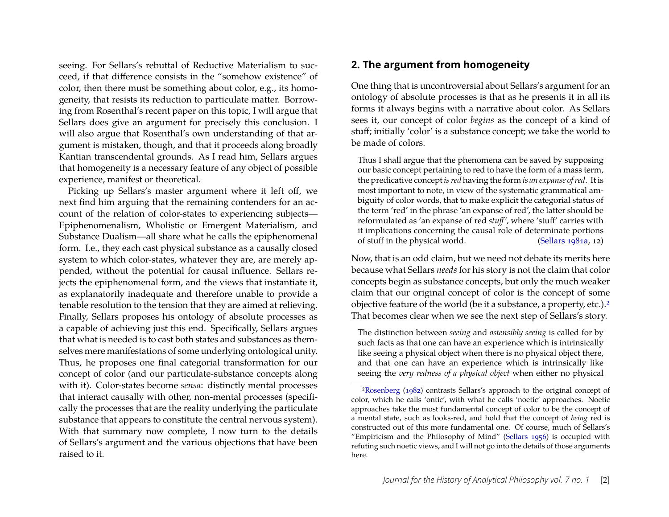seeing. For Sellars's rebuttal of Reductive Materialism to succeed, if that difference consists in the "somehow existence" of color, then there must be something about color, e.g., its homogeneity, that resists its reduction to particulate matter. Borrowing from Rosenthal's recent paper on this topic, I will argue that Sellars does give an argument for precisely this conclusion. I will also argue that Rosenthal's own understanding of that argument is mistaken, though, and that it proceeds along broadly Kantian transcendental grounds. As I read him, Sellars argues that homogeneity is a necessary feature of any object of possible experience, manifest or theoretical.

Picking up Sellars's master argument where it left off, we next find him arguing that the remaining contenders for an account of the relation of color-states to experiencing subjects— Epiphenomenalism, Wholistic or Emergent Materialism, and Substance Dualism—all share what he calls the epiphenomenal form. I.e., they each cast physical substance as a causally closed system to which color-states, whatever they are, are merely appended, without the potential for causal influence. Sellars rejects the epiphenomenal form, and the views that instantiate it, as explanatorily inadequate and therefore unable to provide a tenable resolution to the tension that they are aimed at relieving. Finally, Sellars proposes his ontology of absolute processes as a capable of achieving just this end. Specifically, Sellars argues that what is needed is to cast both states and substances as themselves mere manifestations of some underlying ontological unity. Thus, he proposes one final categorial transformation for our concept of color (and our particulate-substance concepts along with it). Color-states become *sensa*: distinctly mental processes that interact causally with other, non-mental processes (specifically the processes that are the reality underlying the particulate substance that appears to constitute the central nervous system). With that summary now complete, I now turn to the details of Sellars's argument and the various objections that have been raised to it.

## **2. The argument from homogeneity**

One thing that is uncontroversial about Sellars's argument for an ontology of absolute processes is that as he presents it in all its forms it always begins with a narrative about color. As Sellars sees it, our concept of color *begins* as the concept of a kind of stuff; initially 'color' is a substance concept; we take the world to be made of colors.

Thus I shall argue that the phenomena can be saved by supposing our basic concept pertaining to red to have the form of a mass term, the predicative concept *is red* having the form *is an expanse of red*. It is most important to note, in view of the systematic grammatical ambiguity of color words, that to make explicit the categorial status of the term 'red' in the phrase 'an expanse of red', the latter should be reformulated as 'an expanse of red *stuff'*, where 'stuff' carries with it implications concerning the causal role of determinate portions of stuff in the physical world. [\(Sellars](#page-24-0) [1981a,](#page-24-0) 12)

Now, that is an odd claim, but we need not debate its merits here because what Sellars *needs* for his story is not the claim that color concepts begin as substance concepts, but only the much weaker claim that our original concept of color is the concept of some objective feature of the world (be it a substance, a property, etc.)[.2](#page-2-0) That becomes clear when we see the next step of Sellars's story.

The distinction between *seeing* and *ostensibly seeing* is called for by such facts as that one can have an experience which is intrinsically like seeing a physical object when there is no physical object there, and that one can have an experience which is intrinsically like seeing the *very redness of a physical object* when either no physical

<span id="page-2-0"></span>[<sup>2</sup>Rosenberg](#page-24-1) [\(1982\)](#page-24-1) contrasts Sellars's approach to the original concept of color, which he calls 'ontic', with what he calls 'noetic' approaches. Noetic approaches take the most fundamental concept of color to be the concept of a mental state, such as looks-red, and hold that the concept of *being* red is constructed out of this more fundamental one. Of course, much of Sellars's "Empiricism and the Philosophy of Mind" [\(Sellars 1956\)](#page-24-2) is occupied with refuting such noetic views, and I will not go into the details of those arguments here.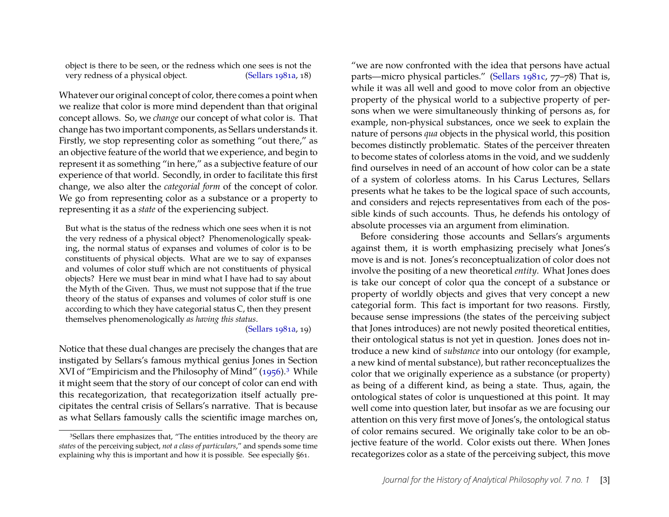object is there to be seen, or the redness which one sees is not the very redness of a physical object. [\(Sellars 1981a,](#page-24-0) 18)

Whatever our original concept of color, there comes a point when we realize that color is more mind dependent than that original concept allows. So, we *change* our concept of what color is. That change has two important components, as Sellars understands it. Firstly, we stop representing color as something "out there," as an objective feature of the world that we experience, and begin to represent it as something "in here," as a subjective feature of our experience of that world. Secondly, in order to facilitate this first change, we also alter the *categorial form* of the concept of color. We go from representing color as a substance or a property to representing it as a *state* of the experiencing subject.

But what is the status of the redness which one sees when it is not the very redness of a physical object? Phenomenologically speaking, the normal status of expanses and volumes of color is to be constituents of physical objects. What are we to say of expanses and volumes of color stuff which are not constituents of physical objects? Here we must bear in mind what I have had to say about the Myth of the Given. Thus, we must not suppose that if the true theory of the status of expanses and volumes of color stuff is one according to which they have categorial status C, then they present themselves phenomenologically *as having this status*.

#### [\(Sellars 1981a,](#page-24-0) 19)

Notice that these dual changes are precisely the changes that are instigated by Sellars's famous mythical genius Jones in Section XVI of "Empiricism and the Philosophy of Mind" [\(1956\)](#page-24-2).<sup>3</sup> While it might seem that the story of our concept of color can end with this recategorization, that recategorization itself actually precipitates the central crisis of Sellars's narrative. That is because as what Sellars famously calls the scientific image marches on, "we are now confronted with the idea that persons have actual parts—micro physical particles." [\(Sellars 1981c,](#page-24-3) 77–78) That is, while it was all well and good to move color from an objective property of the physical world to a subjective property of persons when we were simultaneously thinking of persons as, for example, non-physical substances, once we seek to explain the nature of persons *qua* objects in the physical world, this position becomes distinctly problematic. States of the perceiver threaten to become states of colorless atoms in the void, and we suddenly find ourselves in need of an account of how color can be a state of a system of colorless atoms. In his Carus Lectures, Sellars presents what he takes to be the logical space of such accounts, and considers and rejects representatives from each of the possible kinds of such accounts. Thus, he defends his ontology of absolute processes via an argument from elimination.

Before considering those accounts and Sellars's arguments against them, it is worth emphasizing precisely what Jones's move is and is not. Jones's reconceptualization of color does not involve the positing of a new theoretical *entity*. What Jones does is take our concept of color qua the concept of a substance or property of worldly objects and gives that very concept a new categorial form. This fact is important for two reasons. Firstly, because sense impressions (the states of the perceiving subject that Jones introduces) are not newly posited theoretical entities, their ontological status is not yet in question. Jones does not introduce a new kind of *substance* into our ontology (for example, a new kind of mental substance), but rather reconceptualizes the color that we originally experience as a substance (or property) as being of a different kind, as being a state. Thus, again, the ontological states of color is unquestioned at this point. It may well come into question later, but insofar as we are focusing our attention on this very first move of Jones's, the ontological status of color remains secured. We originally take color to be an objective feature of the world. Color exists out there. When Jones recategorizes color as a state of the perceiving subject, this move

<span id="page-3-0"></span><sup>&</sup>lt;sup>3</sup>Sellars there emphasizes that, "The entities introduced by the theory are *states* of the perceiving subject, *not a class of particulars*," and spends some time explaining why this is important and how it is possible. See especially §61.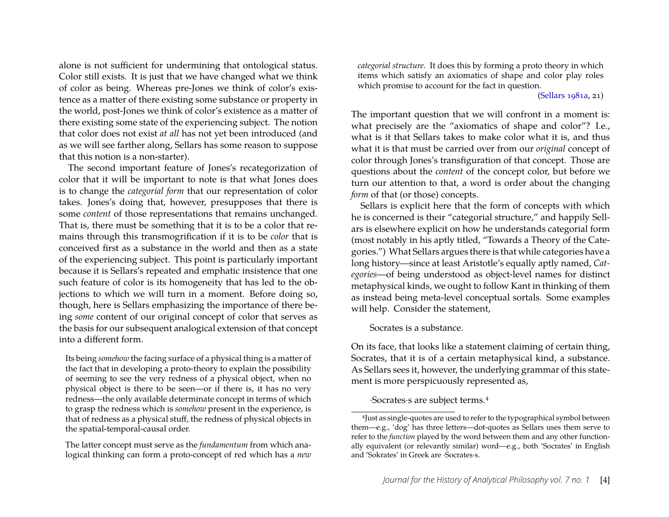alone is not sufficient for undermining that ontological status. Color still exists. It is just that we have changed what we think of color as being. Whereas pre-Jones we think of color's existence as a matter of there existing some substance or property in the world, post-Jones we think of color's existence as a matter of there existing some state of the experiencing subject. The notion that color does not exist *at all* has not yet been introduced (and as we will see farther along, Sellars has some reason to suppose that this notion is a non-starter).

The second important feature of Jones's recategorization of color that it will be important to note is that what Jones does is to change the *categorial form* that our representation of color takes. Jones's doing that, however, presupposes that there is some *content* of those representations that remains unchanged. That is, there must be something that it is to be a color that remains through this transmogrification if it is to be *color* that is conceived first as a substance in the world and then as a state of the experiencing subject. This point is particularly important because it is Sellars's repeated and emphatic insistence that one such feature of color is its homogeneity that has led to the objections to which we will turn in a moment. Before doing so, though, here is Sellars emphasizing the importance of there being *some* content of our original concept of color that serves as the basis for our subsequent analogical extension of that concept into a different form.

Its being *somehow* the facing surface of a physical thing is a matter of the fact that in developing a proto-theory to explain the possibility of seeming to see the very redness of a physical object, when no physical object is there to be seen—or if there is, it has no very redness—the only available determinate concept in terms of which to grasp the redness which is *somehow* present in the experience, is that of redness as a physical stuff, the redness of physical objects in the spatial-temporal-causal order.

The latter concept must serve as the *fundamentum* from which analogical thinking can form a proto-concept of red which has a *new* *categorial structure*. It does this by forming a proto theory in which items which satisfy an axiomatics of shape and color play roles which promise to account for the fact in question.

[\(Sellars 1981a,](#page-24-0) 21)

The important question that we will confront in a moment is: what precisely are the "axiomatics of shape and color"? I.e., what is it that Sellars takes to make color what it is, and thus what it is that must be carried over from our *original* concept of color through Jones's transfiguration of that concept. Those are questions about the *content* of the concept color, but before we turn our attention to that, a word is order about the changing *form* of that (or those) concepts.

Sellars is explicit here that the form of concepts with which he is concerned is their "categorial structure," and happily Sellars is elsewhere explicit on how he understands categorial form (most notably in his aptly titled, "Towards a Theory of the Categories.") What Sellars argues there is that while categories have a long history—since at least Aristotle's equally aptly named, *Categories*—of being understood as object-level names for distinct metaphysical kinds, we ought to follow Kant in thinking of them as instead being meta-level conceptual sortals. Some examples will help. Consider the statement,

Socrates is a substance.

On its face, that looks like a statement claiming of certain thing, Socrates, that it is of a certain metaphysical kind, a substance. As Sellars sees it, however, the underlying grammar of this statement is more perspicuously represented as,

·Socrates·s are subject terms[.4](#page-4-0)

<span id="page-4-0"></span><sup>4</sup>Just as single-quotes are used to refer to the typographical symbol between them—e.g., 'dog' has three letters—dot-quotes as Sellars uses them serve to refer to the *function* played by the word between them and any other functionally equivalent (or relevantly similar) word—e.g., both 'Socrates' in English and 'Sokrates' in Greek are ·Socrates·s.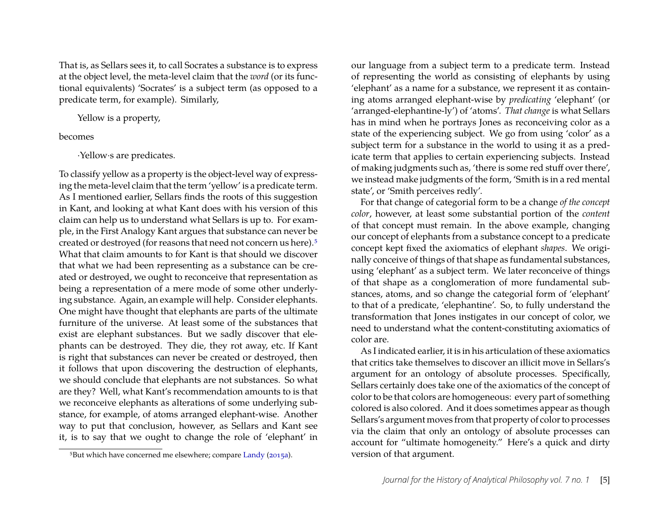That is, as Sellars sees it, to call Socrates a substance is to express at the object level, the meta-level claim that the *word* (or its functional equivalents) 'Socrates' is a subject term (as opposed to a predicate term, for example). Similarly,

Yellow is a property,

#### becomes

·Yellow·s are predicates.

To classify yellow as a property is the object-level way of expressing the meta-level claim that the term 'yellow' is a predicate term. As I mentioned earlier, Sellars finds the roots of this suggestion in Kant, and looking at what Kant does with his version of this claim can help us to understand what Sellars is up to. For example, in the First Analogy Kant argues that substance can never be created or destroyed (for reasons that need not concern us here)[.5](#page-5-0) What that claim amounts to for Kant is that should we discover that what we had been representing as a substance can be created or destroyed, we ought to reconceive that representation as being a representation of a mere mode of some other underlying substance. Again, an example will help. Consider elephants. One might have thought that elephants are parts of the ultimate furniture of the universe. At least some of the substances that exist are elephant substances. But we sadly discover that elephants can be destroyed. They die, they rot away, etc. If Kant is right that substances can never be created or destroyed, then it follows that upon discovering the destruction of elephants, we should conclude that elephants are not substances. So what are they? Well, what Kant's recommendation amounts to is that we reconceive elephants as alterations of some underlying substance, for example, of atoms arranged elephant-wise. Another way to put that conclusion, however, as Sellars and Kant see it, is to say that we ought to change the role of 'elephant' in

our language from a subject term to a predicate term. Instead of representing the world as consisting of elephants by using 'elephant' as a name for a substance, we represent it as containing atoms arranged elephant-wise by *predicating* 'elephant' (or 'arranged-elephantine-ly') of 'atoms'. *That change* is what Sellars has in mind when he portrays Jones as reconceiving color as a state of the experiencing subject. We go from using 'color' as a subject term for a substance in the world to using it as a predicate term that applies to certain experiencing subjects. Instead of making judgments such as, 'there is some red stuff over there', we instead make judgments of the form, 'Smith is in a red mental state', or 'Smith perceives redly'.

For that change of categorial form to be a change *of the concept color*, however, at least some substantial portion of the *content* of that concept must remain. In the above example, changing our concept of elephants from a substance concept to a predicate concept kept fixed the axiomatics of elephant *shapes*. We originally conceive of things of that shape as fundamental substances, using 'elephant' as a subject term. We later reconceive of things of that shape as a conglomeration of more fundamental substances, atoms, and so change the categorial form of 'elephant' to that of a predicate, 'elephantine'. So, to fully understand the transformation that Jones instigates in our concept of color, we need to understand what the content-constituting axiomatics of color are.

As I indicated earlier, it is in his articulation of these axiomatics that critics take themselves to discover an illicit move in Sellars's argument for an ontology of absolute processes. Specifically, Sellars certainly does take one of the axiomatics of the concept of color to be that colors are homogeneous: every part of something colored is also colored. And it does sometimes appear as though Sellars's argument moves from that property of color to processes via the claim that only an ontology of absolute processes can account for "ultimate homogeneity." Here's a quick and dirty version of that argument.

<span id="page-5-0"></span><sup>&</sup>lt;sup>5</sup>But which have concerned me elsewhere; compare [Landy](#page-23-0) [\(2015a\)](#page-23-0).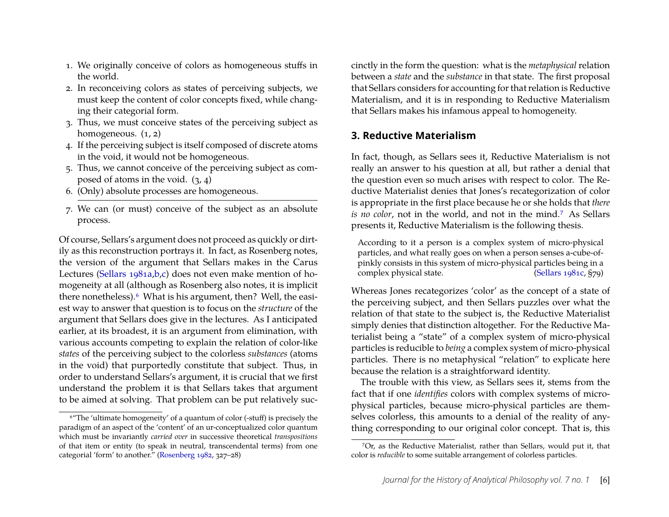- 1. We originally conceive of colors as homogeneous stuffs in the world.
- 2. In reconceiving colors as states of perceiving subjects, we must keep the content of color concepts fixed, while changing their categorial form.
- 3. Thus, we must conceive states of the perceiving subject as homogeneous.  $(1, 2)$
- 4. If the perceiving subject is itself composed of discrete atoms in the void, it would not be homogeneous.
- 5. Thus, we cannot conceive of the perceiving subject as composed of atoms in the void.  $(3, 4)$
- 6. (Only) absolute processes are homogeneous.
- 7. We can (or must) conceive of the subject as an absolute process.

Of course, Sellars's argument does not proceed as quickly or dirtily as this reconstruction portrays it. In fact, as Rosenberg notes, the version of the argument that Sellars makes in the Carus Lectures [\(Sellars 1981a,](#page-24-0)[b,](#page-24-4)[c\)](#page-24-3) does not even make mention of homogeneity at all (although as Rosenberg also notes, it is implicit there nonetheless).<sup>6</sup> What is his argument, then? Well, the easiest way to answer that question is to focus on the *structure* of the argument that Sellars does give in the lectures. As I anticipated earlier, at its broadest, it is an argument from elimination, with various accounts competing to explain the relation of color-like *states* of the perceiving subject to the colorless *substances* (atoms in the void) that purportedly constitute that subject. Thus, in order to understand Sellars's argument, it is crucial that we first understand the problem it is that Sellars takes that argument to be aimed at solving. That problem can be put relatively succinctly in the form the question: what is the *metaphysical* relation between a *state* and the *substance* in that state. The first proposal that Sellars considers for accounting for that relation is Reductive Materialism, and it is in responding to Reductive Materialism that Sellars makes his infamous appeal to homogeneity.

## **3. Reductive Materialism**

In fact, though, as Sellars sees it, Reductive Materialism is not really an answer to his question at all, but rather a denial that the question even so much arises with respect to color. The Reductive Materialist denies that Jones's recategorization of color is appropriate in the first place because he or she holds that *there is no color*, not in the world, and not in the mind[.7](#page-6-1) As Sellars presents it, Reductive Materialism is the following thesis.

According to it a person is a complex system of micro-physical particles, and what really goes on when a person senses a-cube-ofpinkly consists in this system of micro-physical particles being in a complex physical state. [\(Sellars 1981c,](#page-24-3) §79)

Whereas Jones recategorizes 'color' as the concept of a state of the perceiving subject, and then Sellars puzzles over what the relation of that state to the subject is, the Reductive Materialist simply denies that distinction altogether. For the Reductive Materialist being a "state" of a complex system of micro-physical particles is reducible to *being* a complex system of micro-physical particles. There is no metaphysical "relation" to explicate here because the relation is a straightforward identity.

The trouble with this view, as Sellars sees it, stems from the fact that if one *identifies* colors with complex systems of microphysical particles, because micro-physical particles are themselves colorless, this amounts to a denial of the reality of anything corresponding to our original color concept. That is, this

<span id="page-6-0"></span><sup>6&</sup>quot;The 'ultimate homogeneity' of a quantum of color (-stuff) is precisely the paradigm of an aspect of the 'content' of an ur-conceptualized color quantum which must be invariantly *carried over* in successive theoretical *transpositions* of that item or entity (to speak in neutral, transcendental terms) from one categorial 'form' to another." [\(Rosenberg 1982,](#page-24-1) 327–28)

<span id="page-6-1"></span><sup>7</sup>Or, as the Reductive Materialist, rather than Sellars, would put it, that color is *reducible* to some suitable arrangement of colorless particles.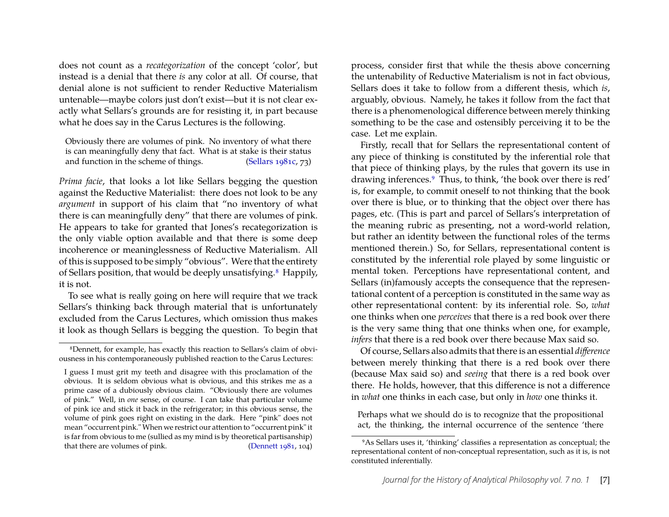does not count as a *recategorization* of the concept 'color', but instead is a denial that there *is* any color at all. Of course, that denial alone is not sufficient to render Reductive Materialism untenable—maybe colors just don't exist—but it is not clear exactly what Sellars's grounds are for resisting it, in part because what he does say in the Carus Lectures is the following.

Obviously there are volumes of pink. No inventory of what there is can meaningfully deny that fact. What is at stake is their status and function in the scheme of things. [\(Sellars 1981c,](#page-24-3) 73)

*Prima facie*, that looks a lot like Sellars begging the question against the Reductive Materialist: there does not look to be any *argument* in support of his claim that "no inventory of what there is can meaningfully deny" that there are volumes of pink. He appears to take for granted that Jones's recategorization is the only viable option available and that there is some deep incoherence or meaninglessness of Reductive Materialism. All of this is supposed to be simply "obvious". Were that the entirety of Sellars position, that would be deeply unsatisfying.<sup>8</sup> Happily, it is not.

To see what is really going on here will require that we track Sellars's thinking back through material that is unfortunately excluded from the Carus Lectures, which omission thus makes it look as though Sellars is begging the question. To begin that process, consider first that while the thesis above concerning the untenability of Reductive Materialism is not in fact obvious, Sellars does it take to follow from a different thesis, which *is*, arguably, obvious. Namely, he takes it follow from the fact that there is a phenomenological difference between merely thinking something to be the case and ostensibly perceiving it to be the case. Let me explain.

Firstly, recall that for Sellars the representational content of any piece of thinking is constituted by the inferential role that that piece of thinking plays, by the rules that govern its use in drawing inferences.<sup>9</sup> Thus, to think, 'the book over there is red' is, for example, to commit oneself to not thinking that the book over there is blue, or to thinking that the object over there has pages, etc. (This is part and parcel of Sellars's interpretation of the meaning rubric as presenting, not a word-world relation, but rather an identity between the functional roles of the terms mentioned therein.) So, for Sellars, representational content is constituted by the inferential role played by some linguistic or mental token. Perceptions have representational content, and Sellars (in)famously accepts the consequence that the representational content of a perception is constituted in the same way as other representational content: by its inferential role. So, *what* one thinks when one *perceives* that there is a red book over there is the very same thing that one thinks when one, for example, *infers* that there is a red book over there because Max said so.

Of course, Sellars also admits that there is an essential *difference* between merely thinking that there is a red book over there (because Max said so) and *seeing* that there is a red book over there. He holds, however, that this difference is not a difference in *what* one thinks in each case, but only in *how* one thinks it.

Perhaps what we should do is to recognize that the propositional act, the thinking, the internal occurrence of the sentence 'there

<span id="page-7-0"></span><sup>8</sup>Dennett, for example, has exactly this reaction to Sellars's claim of obviousness in his contemporaneously published reaction to the Carus Lectures:

I guess I must grit my teeth and disagree with this proclamation of the obvious. It is seldom obvious what is obvious, and this strikes me as a prime case of a dubiously obvious claim. "Obviously there are volumes of pink." Well, in *one* sense, of course. I can take that particular volume of pink ice and stick it back in the refrigerator; in this obvious sense, the volume of pink goes right on existing in the dark. Here "pink" does not mean "occurrent pink." When we restrict our attention to "occurrent pink" it is far from obvious to me (sullied as my mind is by theoretical partisanship) that there are volumes of pink. [\(Dennett 1981,](#page-23-1) 104)

<span id="page-7-1"></span><sup>9</sup>As Sellars uses it, 'thinking' classifies a representation as conceptual; the representational content of non-conceptual representation, such as it is, is not constituted inferentially.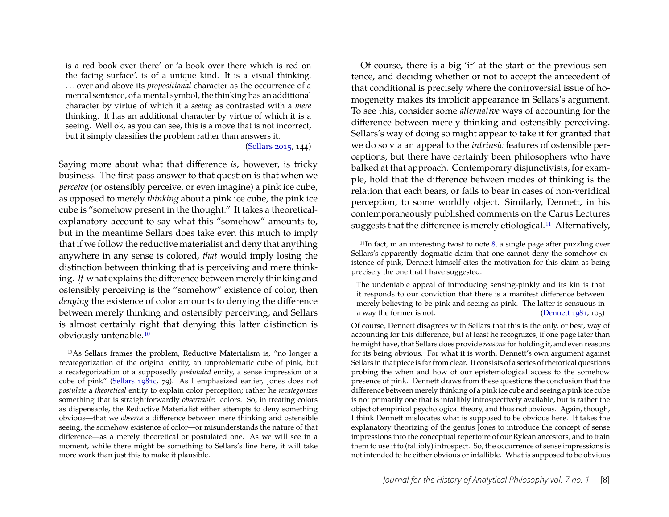is a red book over there' or 'a book over there which is red on the facing surface', is of a unique kind. It is a visual thinking. . . . over and above its *propositional* character as the occurrence of a mental sentence, of a mental symbol, the thinking has an additional character by virtue of which it a *seeing* as contrasted with a *mere* thinking. It has an additional character by virtue of which it is a seeing. Well ok, as you can see, this is a move that is not incorrect, but it simply classifies the problem rather than answers it.

#### [\(Sellars 2015,](#page-24-5) 144)

Saying more about what that difference *is*, however, is tricky business. The first-pass answer to that question is that when we *perceive* (or ostensibly perceive, or even imagine) a pink ice cube, as opposed to merely *thinking* about a pink ice cube, the pink ice cube is "somehow present in the thought." It takes a theoreticalexplanatory account to say what this "somehow" amounts to, but in the meantime Sellars does take even this much to imply that if we follow the reductive materialist and deny that anything anywhere in any sense is colored, *that* would imply losing the distinction between thinking that is perceiving and mere thinking. *If* what explains the difference between merely thinking and ostensibly perceiving is the "somehow" existence of color, then *denying* the existence of color amounts to denying the difference between merely thinking and ostensibly perceiving, and Sellars is almost certainly right that denying this latter distinction is obviously untenable[.10](#page-8-0)

Of course, there is a big 'if' at the start of the previous sentence, and deciding whether or not to accept the antecedent of that conditional is precisely where the controversial issue of homogeneity makes its implicit appearance in Sellars's argument. To see this, consider some *alternative* ways of accounting for the difference between merely thinking and ostensibly perceiving. Sellars's way of doing so might appear to take it for granted that we do so via an appeal to the *intrinsic* features of ostensible perceptions, but there have certainly been philosophers who have balked at that approach. Contemporary disjunctivists, for example, hold that the difference between modes of thinking is the relation that each bears, or fails to bear in cases of non-veridical perception, to some worldly object. Similarly, Dennett, in his contemporaneously published comments on the Carus Lectures suggests that the difference is merely etiological.<sup>11</sup> Alternatively,

<span id="page-8-0"></span><sup>10</sup>As Sellars frames the problem, Reductive Materialism is, "no longer a recategorization of the original entity, an unproblematic cube of pink, but a recategorization of a supposedly *postulated* entity, a sense impression of a cube of pink" [\(Sellars 1981c,](#page-24-3) 79). As I emphasized earlier, Jones does not *postulate* a *theoretical* entity to explain color perception; rather he *recategorizes* something that is straightforwardly *observable*: colors. So, in treating colors as dispensable, the Reductive Materialist either attempts to deny something obvious—that we *observe* a difference between mere thinking and ostensible seeing, the somehow existence of color—or misunderstands the nature of that difference—as a merely theoretical or postulated one. As we will see in a moment, while there might be something to Sellars's line here, it will take more work than just this to make it plausible.

<span id="page-8-1"></span> $11$ In fact, in an interesting twist to note [8,](#page-7-0) a single page after puzzling over Sellars's apparently dogmatic claim that one cannot deny the somehow existence of pink, Dennett himself cites the motivation for this claim as being precisely the one that I have suggested.

The undeniable appeal of introducing sensing-pinkly and its kin is that it responds to our conviction that there is a manifest difference between merely believing-to-be-pink and seeing-as-pink. The latter is sensuous in a way the former is not. [\(Dennett 1981,](#page-23-1) 105)

Of course, Dennett disagrees with Sellars that this is the only, or best, way of accounting for this difference, but at least he recognizes, if one page later than he might have, that Sellars does provide *reasons*for holding it, and even reasons for its being obvious. For what it is worth, Dennett's own argument against Sellars in that piece is far from clear. It consists of a series of rhetorical questions probing the when and how of our epistemological access to the somehow presence of pink. Dennett draws from these questions the conclusion that the difference between merely thinking of a pink ice cube and seeing a pink ice cube is not primarily one that is infallibly introspectively available, but is rather the object of empirical psychological theory, and thus not obvious. Again, though, I think Dennett mislocates what is supposed to be obvious here. It takes the explanatory theorizing of the genius Jones to introduce the concept of sense impressions into the conceptual repertoire of our Rylean ancestors, and to train them to use it to (fallibly) introspect. So, the occurrence of sense impressions is not intended to be either obvious or infallible. What is supposed to be obvious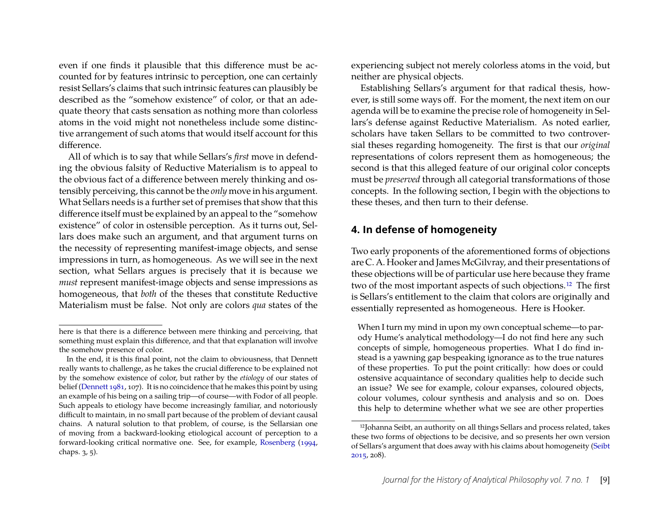even if one finds it plausible that this difference must be accounted for by features intrinsic to perception, one can certainly resist Sellars's claims that such intrinsic features can plausibly be described as the "somehow existence" of color, or that an adequate theory that casts sensation as nothing more than colorless atoms in the void might not nonetheless include some distinctive arrangement of such atoms that would itself account for this difference.

All of which is to say that while Sellars's *first* move in defending the obvious falsity of Reductive Materialism is to appeal to the obvious fact of a difference between merely thinking and ostensibly perceiving, this cannot be the *only* move in his argument. What Sellars needs is a further set of premises that show that this difference itself must be explained by an appeal to the "somehow existence" of color in ostensible perception. As it turns out, Sellars does make such an argument, and that argument turns on the necessity of representing manifest-image objects, and sense impressions in turn, as homogeneous. As we will see in the next section, what Sellars argues is precisely that it is because we *must* represent manifest-image objects and sense impressions as homogeneous, that *both* of the theses that constitute Reductive Materialism must be false. Not only are colors *qua* states of the experiencing subject not merely colorless atoms in the void, but neither are physical objects.

Establishing Sellars's argument for that radical thesis, however, is still some ways off. For the moment, the next item on our agenda will be to examine the precise role of homogeneity in Sellars's defense against Reductive Materialism. As noted earlier, scholars have taken Sellars to be committed to two controversial theses regarding homogeneity. The first is that our *original* representations of colors represent them as homogeneous; the second is that this alleged feature of our original color concepts must be *preserved* through all categorial transformations of those concepts. In the following section, I begin with the objections to these theses, and then turn to their defense.

## **4. In defense of homogeneity**

Two early proponents of the aforementioned forms of objections are C. A. Hooker and James McGilvray, and their presentations of these objections will be of particular use here because they frame two of the most important aspects of such objections[.12](#page-9-0) The first is Sellars's entitlement to the claim that colors are originally and essentially represented as homogeneous. Here is Hooker.

When I turn my mind in upon my own conceptual scheme—to parody Hume's analytical methodology—I do not find here any such concepts of simple, homogeneous properties. What I do find instead is a yawning gap bespeaking ignorance as to the true natures of these properties. To put the point critically: how does or could ostensive acquaintance of secondary qualities help to decide such an issue? We see for example, colour expanses, coloured objects, colour volumes, colour synthesis and analysis and so on. Does this help to determine whether what we see are other properties

here is that there is a difference between mere thinking and perceiving, that something must explain this difference, and that that explanation will involve the somehow presence of color.

In the end, it is this final point, not the claim to obviousness, that Dennett really wants to challenge, as he takes the crucial difference to be explained not by the somehow existence of color, but rather by the *etiology* of our states of belief [\(Dennett 1981,](#page-23-1) 107). It is no coincidence that he makes this point by using an example of his being on a sailing trip—of course—with Fodor of all people. Such appeals to etiology have become increasingly familiar, and notoriously difficult to maintain, in no small part because of the problem of deviant causal chains. A natural solution to that problem, of course, is the Sellarsian one of moving from a backward-looking etiological account of perception to a forward-looking critical normative one. See, for example, [Rosenberg](#page-24-6) [\(1994,](#page-24-6) chaps. 3, 5).

<span id="page-9-0"></span><sup>12</sup>Johanna Seibt, an authority on all things Sellars and process related, takes these two forms of objections to be decisive, and so presents her own version of Sellars's argument that does away with his claims about homogeneity [\(Seibt](#page-24-7) [2015,](#page-24-7) 208).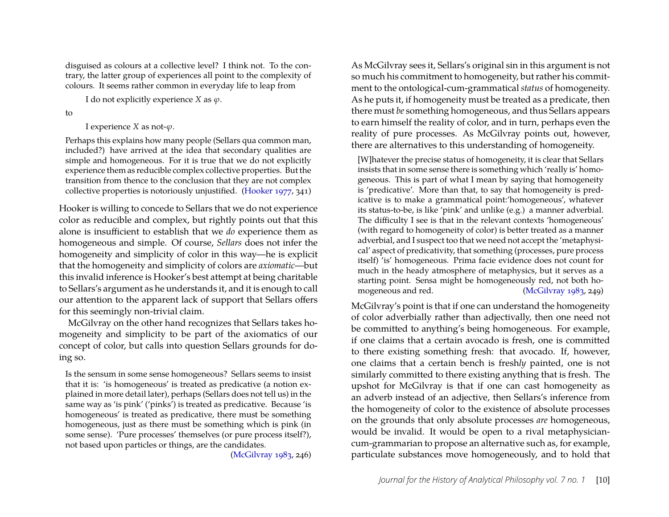disguised as colours at a collective level? I think not. To the contrary, the latter group of experiences all point to the complexity of colours. It seems rather common in everyday life to leap from

I do not explicitly experience *X* as  $\varphi$ .

to

I experience *X* as not- $\varphi$ .

Perhaps this explains how many people (Sellars qua common man, included?) have arrived at the idea that secondary qualities are simple and homogeneous. For it is true that we do not explicitly experience them as reducible complex collective properties. But the transition from thence to the conclusion that they are not complex collective properties is notoriously unjustified. [\(Hooker 1977,](#page-23-2) 341)

Hooker is willing to concede to Sellars that we do not experience color as reducible and complex, but rightly points out that this alone is insufficient to establish that we *do* experience them as homogeneous and simple. Of course, *Sellars* does not infer the homogeneity and simplicity of color in this way—he is explicit that the homogeneity and simplicity of colors are *axiomatic*—but this invalid inference is Hooker's best attempt at being charitable to Sellars's argument as he understands it, and it is enough to call our attention to the apparent lack of support that Sellars offers for this seemingly non-trivial claim.

McGilvray on the other hand recognizes that Sellars takes homogeneity and simplicity to be part of the axiomatics of our concept of color, but calls into question Sellars grounds for doing so.

Is the sensum in some sense homogeneous? Sellars seems to insist that it is: 'is homogeneous' is treated as predicative (a notion explained in more detail later), perhaps (Sellars does not tell us) in the same way as 'is pink' ('pinks') is treated as predicative. Because 'is homogeneous' is treated as predicative, there must be something homogeneous, just as there must be something which is pink (in some sense). 'Pure processes' themselves (or pure process itself?), not based upon particles or things, are the candidates.

[\(McGilvray 1983,](#page-23-3) 246)

As McGilvray sees it, Sellars's original sin in this argument is not so much his commitment to homogeneity, but rather his commitment to the ontological-cum-grammatical *status* of homogeneity. As he puts it, if homogeneity must be treated as a predicate, then there must *be* something homogeneous, and thus Sellars appears to earn himself the reality of color, and in turn, perhaps even the reality of pure processes. As McGilvray points out, however, there are alternatives to this understanding of homogeneity.

[W]hatever the precise status of homogeneity, it is clear that Sellars insists that in some sense there is something which 'really is' homogeneous. This is part of what I mean by saying that homogeneity is 'predicative'. More than that, to say that homogeneity is predicative is to make a grammatical point:'homogeneous', whatever its status-to-be, is like 'pink' and unlike (e.g.) a manner adverbial. The difficulty I see is that in the relevant contexts 'homogeneous' (with regard to homogeneity of color) is better treated as a manner adverbial, and I suspect too that we need not accept the 'metaphysical' aspect of predicativity, that something (processes, pure process itself) 'is' homogeneous. Prima facie evidence does not count for much in the heady atmosphere of metaphysics, but it serves as a starting point. Sensa might be homogeneously red, not both ho-mogeneous and red. [\(McGilvray 1983,](#page-23-3) 249)

McGilvray's point is that if one can understand the homogeneity of color adverbially rather than adjectivally, then one need not be committed to anything's being homogeneous. For example, if one claims that a certain avocado is fresh, one is committed to there existing something fresh: that avocado. If, however, one claims that a certain bench is fresh*ly* painted, one is not similarly committed to there existing anything that is fresh. The upshot for McGilvray is that if one can cast homogeneity as an adverb instead of an adjective, then Sellars's inference from the homogeneity of color to the existence of absolute processes on the grounds that only absolute processes *are* homogeneous, would be invalid. It would be open to a rival metaphysiciancum-grammarian to propose an alternative such as, for example, particulate substances move homogeneously, and to hold that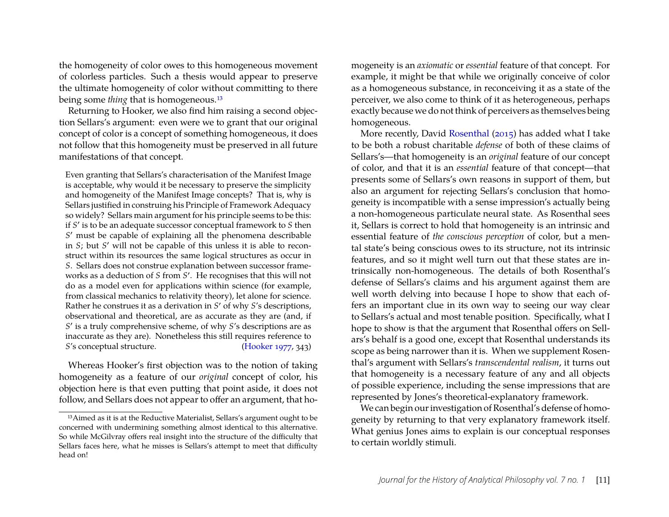the homogeneity of color owes to this homogeneous movement of colorless particles. Such a thesis would appear to preserve the ultimate homogeneity of color without committing to there being some *thing* that is homogeneous.[13](#page-11-0)

Returning to Hooker, we also find him raising a second objection Sellars's argument: even were we to grant that our original concept of color is a concept of something homogeneous, it does not follow that this homogeneity must be preserved in all future manifestations of that concept.

Even granting that Sellars's characterisation of the Manifest Image is acceptable, why would it be necessary to preserve the simplicity and homogeneity of the Manifest Image concepts? That is, why is Sellars justified in construing his Principle of Framework Adequacy so widely? Sellars main argument for his principle seems to be this: if *S* ′ is to be an adequate successor conceptual framework to *S* then *S* ′ must be capable of explaining all the phenomena describable in *S*; but *S* ′ will not be capable of this unless it is able to reconstruct within its resources the same logical structures as occur in *S*. Sellars does not construe explanation between successor frameworks as a deduction of *S* from *S* ′ . He recognises that this will not do as a model even for applications within science (for example, from classical mechanics to relativity theory), let alone for science. Rather he construes it as a derivation in *S* ′ of why *S*'s descriptions, observational and theoretical, are as accurate as they are (and, if *S* ′ is a truly comprehensive scheme, of why *S*'s descriptions are as inaccurate as they are). Nonetheless this still requires reference to *S*'s conceptual structure. [\(Hooker 1977,](#page-23-2) 343)

Whereas Hooker's first objection was to the notion of taking homogeneity as a feature of our *original* concept of color, his objection here is that even putting that point aside, it does not follow, and Sellars does not appear to offer an argument, that homogeneity is an *axiomatic* or *essential* feature of that concept. For example, it might be that while we originally conceive of color as a homogeneous substance, in reconceiving it as a state of the perceiver, we also come to think of it as heterogeneous, perhaps exactly because we do not think of perceivers as themselves being homogeneous.

More recently, David [Rosenthal](#page-24-8) [\(2015\)](#page-24-8) has added what I take to be both a robust charitable *defense* of both of these claims of Sellars's—that homogeneity is an *original* feature of our concept of color, and that it is an *essential* feature of that concept—that presents some of Sellars's own reasons in support of them, but also an argument for rejecting Sellars's conclusion that homogeneity is incompatible with a sense impression's actually being a non-homogeneous particulate neural state. As Rosenthal sees it, Sellars is correct to hold that homogeneity is an intrinsic and essential feature of *the conscious perception* of color, but a mental state's being conscious owes to its structure, not its intrinsic features, and so it might well turn out that these states are intrinsically non-homogeneous. The details of both Rosenthal's defense of Sellars's claims and his argument against them are well worth delving into because I hope to show that each offers an important clue in its own way to seeing our way clear to Sellars's actual and most tenable position. Specifically, what I hope to show is that the argument that Rosenthal offers on Sellars's behalf is a good one, except that Rosenthal understands its scope as being narrower than it is. When we supplement Rosenthal's argument with Sellars's *transcendental realism*, it turns out that homogeneity is a necessary feature of any and all objects of possible experience, including the sense impressions that are represented by Jones's theoretical-explanatory framework.

We can begin our investigation of Rosenthal's defense of homogeneity by returning to that very explanatory framework itself. What genius Jones aims to explain is our conceptual responses to certain worldly stimuli.

<span id="page-11-0"></span><sup>13</sup>Aimed as it is at the Reductive Materialist, Sellars's argument ought to be concerned with undermining something almost identical to this alternative. So while McGilvray offers real insight into the structure of the difficulty that Sellars faces here, what he misses is Sellars's attempt to meet that difficulty head on!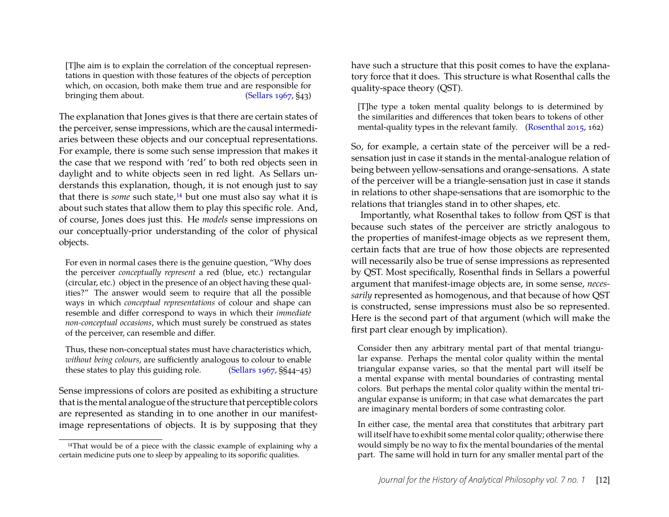[T]he aim is to explain the correlation of the conceptual representations in question with those features of the objects of perception which, on occasion, both make them true and are responsible for bringing them about. [\(Sellars 1967,](#page-24-9) §43)

The explanation that Jones gives is that there are certain states of the perceiver, sense impressions, which are the causal intermediaries between these objects and our conceptual representations. For example, there is some such sense impression that makes it the case that we respond with 'red' to both red objects seen in daylight and to white objects seen in red light. As Sellars understands this explanation, though, it is not enough just to say that there is *some* such state,<sup>[14](#page-12-0)</sup> but one must also say what it is about such states that allow them to play this specific role. And, of course, Jones does just this. He *models* sense impressions on our conceptually-prior understanding of the color of physical objects.

For even in normal cases there is the genuine question, "Why does the perceiver *conceptually represent* a red (blue, etc.) rectangular (circular, etc.) object in the presence of an object having these qualities?" The answer would seem to require that all the possible ways in which *conceptual representations* of colour and shape can resemble and differ correspond to ways in which their *immediate non-conceptual occasions*, which must surely be construed as states of the perceiver, can resemble and differ.

Thus, these non-conceptual states must have characteristics which, *without being colours*, are sufficiently analogous to colour to enable these states to play this guiding role. [\(Sellars 1967,](#page-24-9) §§44–45)

Sense impressions of colors are posited as exhibiting a structure that is the mental analogue of the structure that perceptible colors are represented as standing in to one another in our manifestimage representations of objects. It is by supposing that they have such a structure that this posit comes to have the explanatory force that it does. This structure is what Rosenthal calls the quality-space theory (QST).

[T]he type a token mental quality belongs to is determined by the similarities and differences that token bears to tokens of other mental-quality types in the relevant family. [\(Rosenthal 2015,](#page-24-8) 162)

So, for example, a certain state of the perceiver will be a redsensation just in case it stands in the mental-analogue relation of being between yellow-sensations and orange-sensations. A state of the perceiver will be a triangle-sensation just in case it stands in relations to other shape-sensations that are isomorphic to the relations that triangles stand in to other shapes, etc.

Importantly, what Rosenthal takes to follow from QST is that because such states of the perceiver are strictly analogous to the properties of manifest-image objects as we represent them, certain facts that are true of how those objects are represented will necessarily also be true of sense impressions as represented by QST. Most specifically, Rosenthal finds in Sellars a powerful argument that manifest-image objects are, in some sense, *necessarily* represented as homogenous, and that because of how QST is constructed, sense impressions must also be so represented. Here is the second part of that argument (which will make the first part clear enough by implication).

Consider then any arbitrary mental part of that mental triangular expanse. Perhaps the mental color quality within the mental triangular expanse varies, so that the mental part will itself be a mental expanse with mental boundaries of contrasting mental colors. But perhaps the mental color quality within the mental triangular expanse is uniform; in that case what demarcates the part are imaginary mental borders of some contrasting color.

In either case, the mental area that constitutes that arbitrary part will itself have to exhibit some mental color quality; otherwise there would simply be no way to fix the mental boundaries of the mental part. The same will hold in turn for any smaller mental part of the

<span id="page-12-0"></span><sup>&</sup>lt;sup>14</sup>That would be of a piece with the classic example of explaining why a certain medicine puts one to sleep by appealing to its soporific qualities.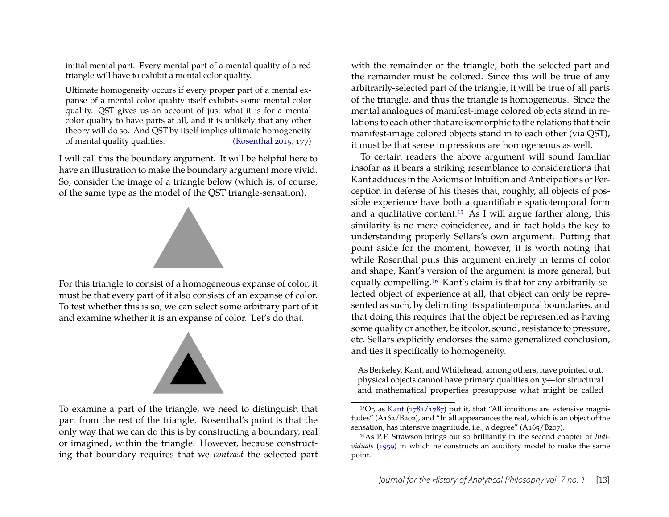initial mental part. Every mental part of a mental quality of a red triangle will have to exhibit a mental color quality.

Ultimate homogeneity occurs if every proper part of a mental expanse of a mental color quality itself exhibits some mental color quality. QST gives us an account of just what it is for a mental color quality to have parts at all, and it is unlikely that any other theory will do so. And QST by itself implies ultimate homogeneity of mental quality qualities. [\(Rosenthal 2015,](#page-24-8) 177)

I will call this the boundary argument. It will be helpful here to have an illustration to make the boundary argument more vivid. So, consider the image of a triangle below (which is, of course, of the same type as the model of the QST triangle-sensation).



For this triangle to consist of a homogeneous expanse of color, it must be that every part of it also consists of an expanse of color. To test whether this is so, we can select some arbitrary part of it and examine whether it is an expanse of color. Let's do that.



To examine a part of the triangle, we need to distinguish that part from the rest of the triangle. Rosenthal's point is that the only way that we can do this is by constructing a boundary, real or imagined, within the triangle. However, because constructing that boundary requires that we *contrast* the selected part

with the remainder of the triangle, both the selected part and the remainder must be colored. Since this will be true of any arbitrarily-selected part of the triangle, it will be true of all parts of the triangle, and thus the triangle is homogeneous. Since the mental analogues of manifest-image colored objects stand in relations to each other that are isomorphic to the relations that their manifest-image colored objects stand in to each other (via QST), it must be that sense impressions are homogeneous as well.

To certain readers the above argument will sound familiar insofar as it bears a striking resemblance to considerations that Kant adduces in the Axioms of Intuition and Anticipations of Perception in defense of his theses that, roughly, all objects of possible experience have both a quantifiable spatiotemporal form and a qualitative content.[15](#page-13-0) As I will argue farther along, this similarity is no mere coincidence, and in fact holds the key to understanding properly Sellars's own argument. Putting that point aside for the moment, however, it is worth noting that while Rosenthal puts this argument entirely in terms of color and shape, Kant's version of the argument is more general, but equally compelling.[16](#page-13-1) Kant's claim is that for any arbitrarily selected object of experience at all, that object can only be represented as such, by delimiting its spatiotemporal boundaries, and that doing this requires that the object be represented as having some quality or another, be it color, sound, resistance to pressure, etc. Sellars explicitly endorses the same generalized conclusion, and ties it specifically to homogeneity.

As Berkeley, Kant, and Whitehead, among others, have pointed out, physical objects cannot have primary qualities only—for structural and mathematical properties presuppose what might be called

<span id="page-13-0"></span><sup>&</sup>lt;sup>15</sup>Or, as [Kant](#page-23-4) ( $1781/1787$ ) put it, that "All intuitions are extensive magnitudes" (A162/B202), and "In all appearances the real, which is an object of the sensation, has intensive magnitude, i.e., a degree" (A165/B207).

<span id="page-13-1"></span><sup>&</sup>lt;sup>16</sup>As P.F. Strawson brings out so brilliantly in the second chapter of *Individuals* [\(1959\)](#page-24-10) in which he constructs an auditory model to make the same point.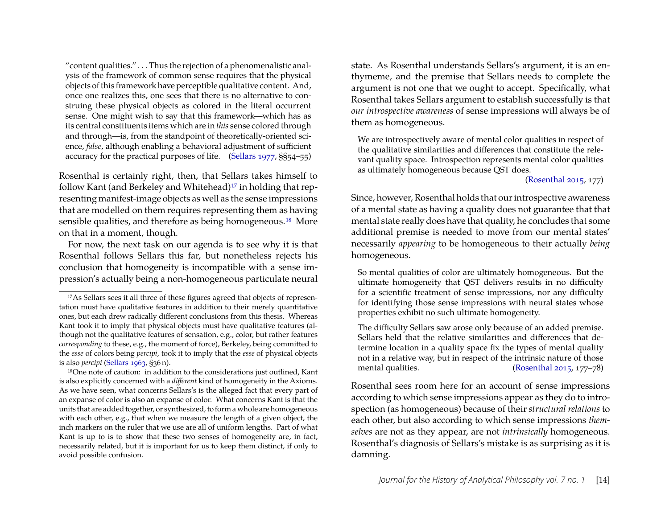"content qualities." . . . Thus the rejection of a phenomenalistic analysis of the framework of common sense requires that the physical objects of this framework have perceptible qualitative content. And, once one realizes this, one sees that there is no alternative to construing these physical objects as colored in the literal occurrent sense. One might wish to say that this framework—which has as its central constituents items which are in *this* sense colored through and through—is, from the standpoint of theoretically-oriented science, *false*, although enabling a behavioral adjustment of sufficient accuracy for the practical purposes of life. [\(Sellars 1977,](#page-24-11) §§54–55)

Rosenthal is certainly right, then, that Sellars takes himself to follow Kant (and Berkeley and Whitehead)<sup>[17](#page-14-0)</sup> in holding that representing manifest-image objects as well as the sense impressions that are modelled on them requires representing them as having sensible qualities, and therefore as being homogeneous.<sup>[18](#page-14-1)</sup> More on that in a moment, though.

For now, the next task on our agenda is to see why it is that Rosenthal follows Sellars this far, but nonetheless rejects his conclusion that homogeneity is incompatible with a sense impression's actually being a non-homogeneous particulate neural

state. As Rosenthal understands Sellars's argument, it is an enthymeme, and the premise that Sellars needs to complete the argument is not one that we ought to accept. Specifically, what Rosenthal takes Sellars argument to establish successfully is that *our introspective awareness* of sense impressions will always be of them as homogeneous.

We are introspectively aware of mental color qualities in respect of the qualitative similarities and differences that constitute the relevant quality space. Introspection represents mental color qualities as ultimately homogeneous because QST does.

[\(Rosenthal 2015,](#page-24-8) 177)

Since, however, Rosenthal holds that our introspective awareness of a mental state as having a quality does not guarantee that that mental state really does have that quality, he concludes that some additional premise is needed to move from our mental states' necessarily *appearing* to be homogeneous to their actually *being* homogeneous.

So mental qualities of color are ultimately homogeneous. But the ultimate homogeneity that QST delivers results in no difficulty for a scientific treatment of sense impressions, nor any difficulty for identifying those sense impressions with neural states whose properties exhibit no such ultimate homogeneity.

The difficulty Sellars saw arose only because of an added premise. Sellars held that the relative similarities and differences that determine location in a quality space fix the types of mental quality not in a relative way, but in respect of the intrinsic nature of those mental qualities. [\(Rosenthal 2015,](#page-24-8) 177–78)

Rosenthal sees room here for an account of sense impressions according to which sense impressions appear as they do to introspection (as homogeneous) because of their *structural relations* to each other, but also according to which sense impressions *themselves* are not as they appear, are not *intrinsically* homogeneous. Rosenthal's diagnosis of Sellars's mistake is as surprising as it is damning.

<span id="page-14-0"></span><sup>&</sup>lt;sup>17</sup>As Sellars sees it all three of these figures agreed that objects of representation must have qualitative features in addition to their merely quantitative ones, but each drew radically different conclusions from this thesis. Whereas Kant took it to imply that physical objects must have qualitative features (although not the qualitative features of sensation, e.g., color, but rather features *corresponding* to these, e.g., the moment of force), Berkeley, being committed to the *esse* of colors being *percipi*, took it to imply that the *esse* of physical objects is also *percipi* [\(Sellars 1963,](#page-24-12) §36 n).

<span id="page-14-1"></span><sup>18</sup>One note of caution: in addition to the considerations just outlined, Kant is also explicitly concerned with a *different* kind of homogeneity in the Axioms. As we have seen, what concerns Sellars's is the alleged fact that every part of an expanse of color is also an expanse of color. What concerns Kant is that the units that are added together, or synthesized, to form a whole are homogeneous with each other, e.g., that when we measure the length of a given object, the inch markers on the ruler that we use are all of uniform lengths. Part of what Kant is up to is to show that these two senses of homogeneity are, in fact, necessarily related, but it is important for us to keep them distinct, if only to avoid possible confusion.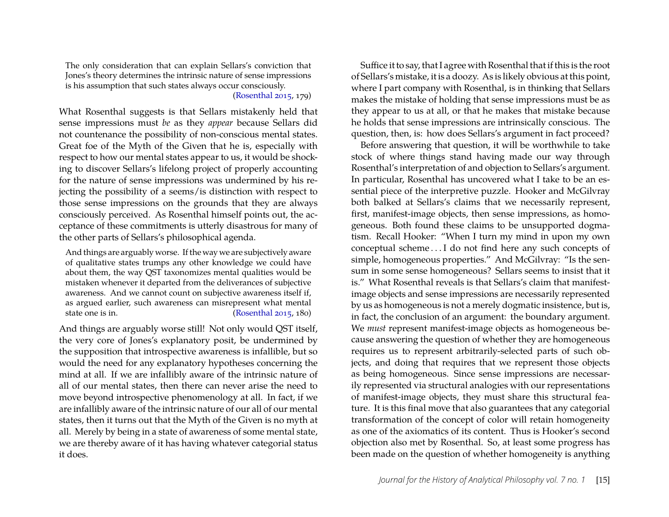The only consideration that can explain Sellars's conviction that Jones's theory determines the intrinsic nature of sense impressions is his assumption that such states always occur consciously.

[\(Rosenthal 2015,](#page-24-8) 179)

What Rosenthal suggests is that Sellars mistakenly held that sense impressions must *be* as they *appear* because Sellars did not countenance the possibility of non-conscious mental states. Great foe of the Myth of the Given that he is, especially with respect to how our mental states appear to us, it would be shocking to discover Sellars's lifelong project of properly accounting for the nature of sense impressions was undermined by his rejecting the possibility of a seems/is distinction with respect to those sense impressions on the grounds that they are always consciously perceived. As Rosenthal himself points out, the acceptance of these commitments is utterly disastrous for many of the other parts of Sellars's philosophical agenda.

And things are arguably worse. If the way we are subjectively aware of qualitative states trumps any other knowledge we could have about them, the way QST taxonomizes mental qualities would be mistaken whenever it departed from the deliverances of subjective awareness. And we cannot count on subjective awareness itself if, as argued earlier, such awareness can misrepresent what mental state one is in. [\(Rosenthal 2015,](#page-24-8) 180)

And things are arguably worse still! Not only would QST itself, the very core of Jones's explanatory posit, be undermined by the supposition that introspective awareness is infallible, but so would the need for any explanatory hypotheses concerning the mind at all. If we are infallibly aware of the intrinsic nature of all of our mental states, then there can never arise the need to move beyond introspective phenomenology at all. In fact, if we are infallibly aware of the intrinsic nature of our all of our mental states, then it turns out that the Myth of the Given is no myth at all. Merely by being in a state of awareness of some mental state, we are thereby aware of it has having whatever categorial status it does.

Suffice it to say, that I agree with Rosenthal that if this is the root of Sellars's mistake, it is a doozy. As is likely obvious at this point, where I part company with Rosenthal, is in thinking that Sellars makes the mistake of holding that sense impressions must be as they appear to us at all, or that he makes that mistake because he holds that sense impressions are intrinsically conscious. The question, then, is: how does Sellars's argument in fact proceed?

Before answering that question, it will be worthwhile to take stock of where things stand having made our way through Rosenthal's interpretation of and objection to Sellars's argument. In particular, Rosenthal has uncovered what I take to be an essential piece of the interpretive puzzle. Hooker and McGilvray both balked at Sellars's claims that we necessarily represent, first, manifest-image objects, then sense impressions, as homogeneous. Both found these claims to be unsupported dogmatism. Recall Hooker: "When I turn my mind in upon my own conceptual scheme . . . I do not find here any such concepts of simple, homogeneous properties." And McGilvray: "Is the sensum in some sense homogeneous? Sellars seems to insist that it is." What Rosenthal reveals is that Sellars's claim that manifestimage objects and sense impressions are necessarily represented by us as homogeneous is not a merely dogmatic insistence, but is, in fact, the conclusion of an argument: the boundary argument. We *must* represent manifest-image objects as homogeneous because answering the question of whether they are homogeneous requires us to represent arbitrarily-selected parts of such objects, and doing that requires that we represent those objects as being homogeneous. Since sense impressions are necessarily represented via structural analogies with our representations of manifest-image objects, they must share this structural feature. It is this final move that also guarantees that any categorial transformation of the concept of color will retain homogeneity as one of the axiomatics of its content. Thus is Hooker's second objection also met by Rosenthal. So, at least some progress has been made on the question of whether homogeneity is anything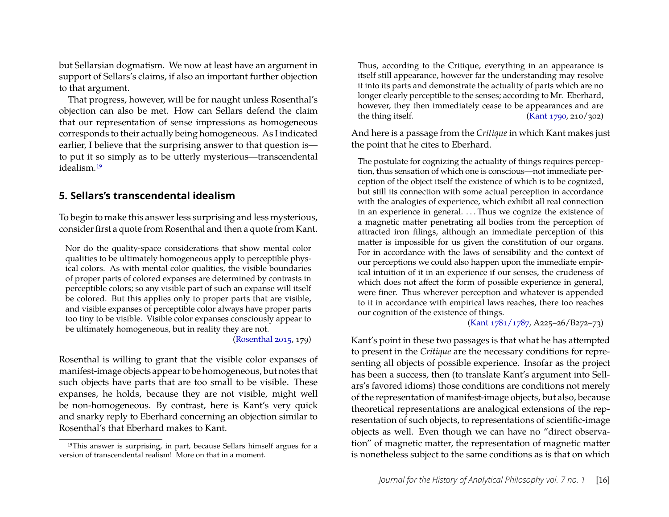but Sellarsian dogmatism. We now at least have an argument in support of Sellars's claims, if also an important further objection to that argument.

That progress, however, will be for naught unless Rosenthal's objection can also be met. How can Sellars defend the claim that our representation of sense impressions as homogeneous corresponds to their actually being homogeneous. As I indicated earlier, I believe that the surprising answer to that question is to put it so simply as to be utterly mysterious—transcendental idealism.[19](#page-16-0)

## **5. Sellars's transcendental idealism**

To begin to make this answer less surprising and less mysterious, consider first a quote from Rosenthal and then a quote from Kant.

Nor do the quality-space considerations that show mental color qualities to be ultimately homogeneous apply to perceptible physical colors. As with mental color qualities, the visible boundaries of proper parts of colored expanses are determined by contrasts in perceptible colors; so any visible part of such an expanse will itself be colored. But this applies only to proper parts that are visible, and visible expanses of perceptible color always have proper parts too tiny to be visible. Visible color expanses consciously appear to be ultimately homogeneous, but in reality they are not.

[\(Rosenthal 2015,](#page-24-8) 179)

Rosenthal is willing to grant that the visible color expanses of manifest-image objects appear to be homogeneous, but notes that such objects have parts that are too small to be visible. These expanses, he holds, because they are not visible, might well be non-homogeneous. By contrast, here is Kant's very quick and snarky reply to Eberhard concerning an objection similar to Rosenthal's that Eberhard makes to Kant.

Thus, according to the Critique, everything in an appearance is itself still appearance, however far the understanding may resolve it into its parts and demonstrate the actuality of parts which are no longer clearly perceptible to the senses; according to Mr. Eberhard, however, they then immediately cease to be appearances and are the thing itself.  $(Kant 1790, 210/302)$ 

And here is a passage from the *Critique* in which Kant makes just the point that he cites to Eberhard.

The postulate for cognizing the actuality of things requires perception, thus sensation of which one is conscious—not immediate perception of the object itself the existence of which is to be cognized, but still its connection with some actual perception in accordance with the analogies of experience, which exhibit all real connection in an experience in general. ... Thus we cognize the existence of a magnetic matter penetrating all bodies from the perception of attracted iron filings, although an immediate perception of this matter is impossible for us given the constitution of our organs. For in accordance with the laws of sensibility and the context of our perceptions we could also happen upon the immediate empirical intuition of it in an experience if our senses, the crudeness of which does not affect the form of possible experience in general, were finer. Thus wherever perception and whatever is appended to it in accordance with empirical laws reaches, there too reaches our cognition of the existence of things.

[\(Kant 1781/1787,](#page-23-4) A225–26/B272–73)

Kant's point in these two passages is that what he has attempted to present in the *Critique* are the necessary conditions for representing all objects of possible experience. Insofar as the project has been a success, then (to translate Kant's argument into Sellars's favored idioms) those conditions are conditions not merely of the representation of manifest-image objects, but also, because theoretical representations are analogical extensions of the representation of such objects, to representations of scientific-image objects as well. Even though we can have no "direct observation" of magnetic matter, the representation of magnetic matter is nonetheless subject to the same conditions as is that on which

<span id="page-16-0"></span><sup>19</sup>This answer is surprising, in part, because Sellars himself argues for a version of transcendental realism! More on that in a moment.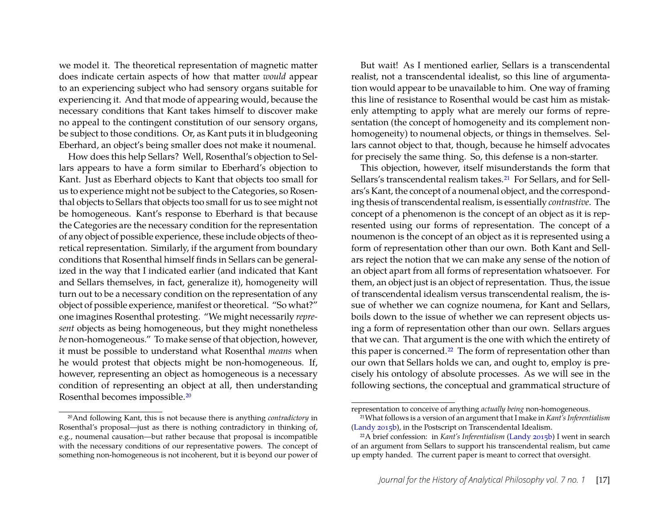we model it. The theoretical representation of magnetic matter does indicate certain aspects of how that matter *would* appear to an experiencing subject who had sensory organs suitable for experiencing it. And that mode of appearing would, because the necessary conditions that Kant takes himself to discover make no appeal to the contingent constitution of our sensory organs, be subject to those conditions. Or, as Kant puts it in bludgeoning Eberhard, an object's being smaller does not make it noumenal.

How does this help Sellars? Well, Rosenthal's objection to Sellars appears to have a form similar to Eberhard's objection to Kant. Just as Eberhard objects to Kant that objects too small for us to experience might not be subject to the Categories, so Rosenthal objects to Sellars that objects too small for us to see might not be homogeneous. Kant's response to Eberhard is that because the Categories are the necessary condition for the representation of any object of possible experience, these include objects of theoretical representation. Similarly, if the argument from boundary conditions that Rosenthal himself finds in Sellars can be generalized in the way that I indicated earlier (and indicated that Kant and Sellars themselves, in fact, generalize it), homogeneity will turn out to be a necessary condition on the representation of any object of possible experience, manifest or theoretical. "So what?" one imagines Rosenthal protesting. "We might necessarily *represent* objects as being homogeneous, but they might nonetheless *be* non-homogeneous." To make sense of that objection, however, it must be possible to understand what Rosenthal *means* when he would protest that objects might be non-homogeneous. If, however, representing an object as homogeneous is a necessary condition of representing an object at all, then understanding Rosenthal becomes impossible.[20](#page-17-0)

But wait! As I mentioned earlier, Sellars is a transcendental realist, not a transcendental idealist, so this line of argumentation would appear to be unavailable to him. One way of framing this line of resistance to Rosenthal would be cast him as mistakenly attempting to apply what are merely our forms of representation (the concept of homogeneity and its complement nonhomogeneity) to noumenal objects, or things in themselves. Sellars cannot object to that, though, because he himself advocates for precisely the same thing. So, this defense is a non-starter.

This objection, however, itself misunderstands the form that Sellars's transcendental realism takes.<sup>[21](#page-17-1)</sup> For Sellars, and for Sellars's Kant, the concept of a noumenal object, and the corresponding thesis of transcendental realism, is essentially *contrastive*. The concept of a phenomenon is the concept of an object as it is represented using our forms of representation. The concept of a noumenon is the concept of an object as it is represented using a form of representation other than our own. Both Kant and Sellars reject the notion that we can make any sense of the notion of an object apart from all forms of representation whatsoever. For them, an object just is an object of representation. Thus, the issue of transcendental idealism versus transcendental realism, the issue of whether we can cognize noumena, for Kant and Sellars, boils down to the issue of whether we can represent objects using a form of representation other than our own. Sellars argues that we can. That argument is the one with which the entirety of this paper is concerned.<sup>[22](#page-17-2)</sup> The form of representation other than our own that Sellars holds we can, and ought to, employ is precisely his ontology of absolute processes. As we will see in the following sections, the conceptual and grammatical structure of

<span id="page-17-0"></span><sup>20</sup>And following Kant, this is not because there is anything *contradictory* in Rosenthal's proposal—just as there is nothing contradictory in thinking of, e.g., noumenal causation—but rather because that proposal is incompatible with the necessary conditions of our representative powers. The concept of something non-homogeneous is not incoherent, but it is beyond our power of

representation to conceive of anything *actually being* non-homogeneous.

<span id="page-17-1"></span><sup>21</sup>What follows is a version of an argument that I make in *Kant's Inferentialism* [\(Landy 2015b\)](#page-23-6), in the Postscript on Transcendental Idealism.

<span id="page-17-2"></span><sup>22</sup>A brief confession: in *Kant's Inferentialism* [\(Landy 2015b\)](#page-23-6) I went in search of an argument from Sellars to support his transcendental realism, but came up empty handed. The current paper is meant to correct that oversight.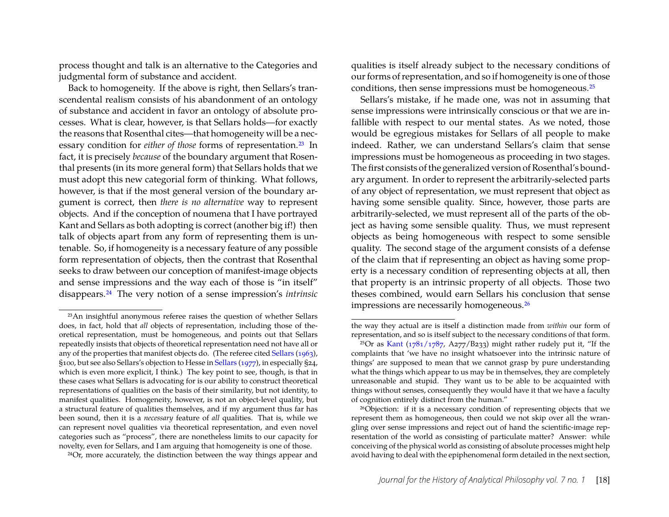process thought and talk is an alternative to the Categories and judgmental form of substance and accident.

Back to homogeneity. If the above is right, then Sellars's transcendental realism consists of his abandonment of an ontology of substance and accident in favor an ontology of absolute processes. What is clear, however, is that Sellars holds—for exactly the reasons that Rosenthal cites—that homogeneity will be a necessary condition for *either of those* forms of representation.<sup>[23](#page-18-0)</sup> In fact, it is precisely *because* of the boundary argument that Rosenthal presents (in its more general form) that Sellars holds that we must adopt this new categorial form of thinking. What follows, however, is that if the most general version of the boundary argument is correct, then *there is no alternative* way to represent objects. And if the conception of noumena that I have portrayed Kant and Sellars as both adopting is correct (another big if!) then talk of objects apart from any form of representing them is untenable. So, if homogeneity is a necessary feature of any possible form representation of objects, then the contrast that Rosenthal seeks to draw between our conception of manifest-image objects and sense impressions and the way each of those is "in itself" disappears.[24](#page-18-1) The very notion of a sense impression's *intrinsic*

<span id="page-18-1"></span>24Or, more accurately, the distinction between the way things appear and

qualities is itself already subject to the necessary conditions of our forms of representation, and so if homogeneity is one of those conditions, then sense impressions must be homogeneous.[25](#page-18-2)

Sellars's mistake, if he made one, was not in assuming that sense impressions were intrinsically conscious or that we are infallible with respect to our mental states. As we noted, those would be egregious mistakes for Sellars of all people to make indeed. Rather, we can understand Sellars's claim that sense impressions must be homogeneous as proceeding in two stages. The first consists of the generalized version of Rosenthal's boundary argument. In order to represent the arbitrarily-selected parts of any object of representation, we must represent that object as having some sensible quality. Since, however, those parts are arbitrarily-selected, we must represent all of the parts of the object as having some sensible quality. Thus, we must represent objects as being homogeneous with respect to some sensible quality. The second stage of the argument consists of a defense of the claim that if representing an object as having some property is a necessary condition of representing objects at all, then that property is an intrinsic property of all objects. Those two theses combined, would earn Sellars his conclusion that sense impressions are necessarily homogeneous.[26](#page-18-3)

<span id="page-18-0"></span><sup>23</sup>An insightful anonymous referee raises the question of whether Sellars does, in fact, hold that *all* objects of representation, including those of theoretical representation, must be homogeneous, and points out that Sellars repeatedly insists that objects of theoretical representation need not have all or any of the properties that manifest objects do. (The referee cited [Sellars](#page-24-12) [\(1963\)](#page-24-12), §100, but see also Sellars's objection to Hesse in [Sellars](#page-24-11) [\(1977\)](#page-24-11), in especially §24, which is even more explicit, I think.) The key point to see, though, is that in these cases what Sellars is advocating for is our ability to construct theoretical representations of qualities on the basis of their similarity, but not identity, to manifest qualities. Homogeneity, however, is not an object-level quality, but a structural feature of qualities themselves, and if my argument thus far has been sound, then it is a *necessary* feature of *all* qualities. That is, while we can represent novel qualities via theoretical representation, and even novel categories such as "process", there are nonetheless limits to our capacity for novelty, even for Sellars, and I am arguing that homogeneity is one of those.

the way they actual are is itself a distinction made from *within* our form of representation, and so is itself subject to the necessary conditions of that form.

<span id="page-18-2"></span><sup>&</sup>lt;sup>25</sup>Or as [Kant](#page-23-4) ( $1781/1787$ , A277/B233) might rather rudely put it, "If the complaints that 'we have no insight whatsoever into the intrinsic nature of things' are supposed to mean that we cannot grasp by pure understanding what the things which appear to us may be in themselves, they are completely unreasonable and stupid. They want us to be able to be acquainted with things without senses, consequently they would have it that we have a faculty of cognition entirely distinct from the human."

<span id="page-18-3"></span><sup>26</sup>Objection: if it is a necessary condition of representing objects that we represent them as homogeneous, then could we not skip over all the wrangling over sense impressions and reject out of hand the scientific-image representation of the world as consisting of particulate matter? Answer: while conceiving of the physical world as consisting of absolute processes might help avoid having to deal with the epiphenomenal form detailed in the next section,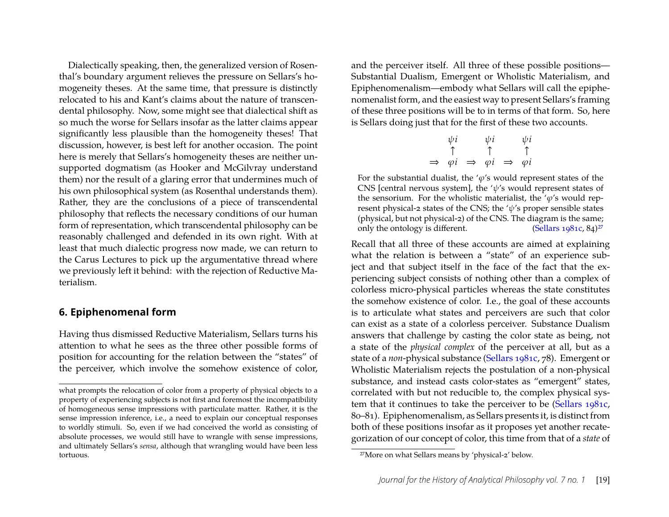Dialectically speaking, then, the generalized version of Rosenthal's boundary argument relieves the pressure on Sellars's homogeneity theses. At the same time, that pressure is distinctly relocated to his and Kant's claims about the nature of transcendental philosophy. Now, some might see that dialectical shift as so much the worse for Sellars insofar as the latter claims appear significantly less plausible than the homogeneity theses! That discussion, however, is best left for another occasion. The point here is merely that Sellars's homogeneity theses are neither unsupported dogmatism (as Hooker and McGilvray understand them) nor the result of a glaring error that undermines much of his own philosophical system (as Rosenthal understands them). Rather, they are the conclusions of a piece of transcendental philosophy that reflects the necessary conditions of our human form of representation, which transcendental philosophy can be reasonably challenged and defended in its own right. With at least that much dialectic progress now made, we can return to the Carus Lectures to pick up the argumentative thread where we previously left it behind: with the rejection of Reductive Materialism.

### **6. Epiphenomenal form**

Having thus dismissed Reductive Materialism, Sellars turns his attention to what he sees as the three other possible forms of position for accounting for the relation between the "states" of the perceiver, which involve the somehow existence of color,

and the perceiver itself. All three of these possible positions— Substantial Dualism, Emergent or Wholistic Materialism, and Epiphenomenalism—embody what Sellars will call the epiphenomenalist form, and the easiest way to present Sellars's framing of these three positions will be to in terms of that form. So, here is Sellars doing just that for the first of these two accounts.

$$
\psi i \qquad \psi i \qquad \psi i
$$
\n
$$
\uparrow \qquad \uparrow \qquad \uparrow
$$
\n
$$
\Rightarrow \varphi i \qquad \Rightarrow \varphi i \qquad \Rightarrow \varphi i
$$

For the substantial dualist, the ' $\varphi$ 's would represent states of the CNS [central nervous system], the ' $\psi$ 's would represent states of the sensorium. For the wholistic materialist, the ' $\varphi$ 's would represent physical-2 states of the CNS; the ' $\psi$ 's proper sensible states (physical, but not physical-2) of the CNS. The diagram is the same;<br>only the ontology is different. (Sellars 1981c, 84)<sup>27</sup> only the ontology is different.

Recall that all three of these accounts are aimed at explaining what the relation is between a "state" of an experience subject and that subject itself in the face of the fact that the experiencing subject consists of nothing other than a complex of colorless micro-physical particles whereas the state constitutes the somehow existence of color. I.e., the goal of these accounts is to articulate what states and perceivers are such that color can exist as a state of a colorless perceiver. Substance Dualism answers that challenge by casting the color state as being, not a state of the *physical complex* of the perceiver at all, but as a state of a *non*-physical substance [\(Sellars 1981c,](#page-24-3) 78). Emergent or Wholistic Materialism rejects the postulation of a non-physical substance, and instead casts color-states as "emergent" states, correlated with but not reducible to, the complex physical system that it continues to take the perceiver to be [\(Sellars 1981c,](#page-24-3) 80–81). Epiphenomenalism, as Sellars presents it, is distinct from both of these positions insofar as it proposes yet another recategorization of our concept of color, this time from that of a *state* of

what prompts the relocation of color from a property of physical objects to a property of experiencing subjects is not first and foremost the incompatibility of homogeneous sense impressions with particulate matter. Rather, it is the sense impression inference, i.e., a need to explain our conceptual responses to worldly stimuli. So, even if we had conceived the world as consisting of absolute processes, we would still have to wrangle with sense impressions, and ultimately Sellars's *sensa*, although that wrangling would have been less tortuous.

<span id="page-19-0"></span><sup>27</sup>More on what Sellars means by 'physical-2' below.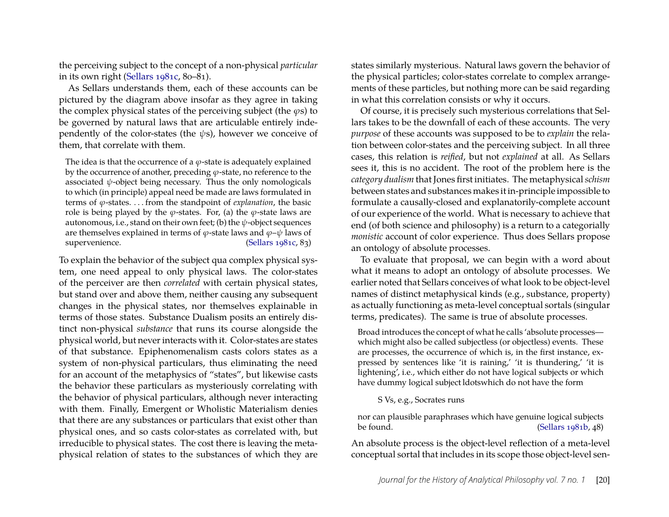the perceiving subject to the concept of a non-physical *particular* in its own right [\(Sellars 1981c,](#page-24-3) 80–81).

As Sellars understands them, each of these accounts can be pictured by the diagram above insofar as they agree in taking the complex physical states of the perceiving subject (the  $\varphi$ s) to be governed by natural laws that are articulable entirely independently of the color-states (the  $\psi$ s), however we conceive of them, that correlate with them.

The idea is that the occurrence of a  $\varphi$ -state is adequately explained by the occurrence of another, preceding  $\varphi$ -state, no reference to the associated  $\psi$ -object being necessary. Thus the only nomologicals to which (in principle) appeal need be made are laws formulated in terms of ϕ-states. . . . from the standpoint of *explanation*, the basic role is being played by the  $\varphi$ -states. For, (a) the  $\varphi$ -state laws are autonomous, i.e., stand on their own feet; (b) the  $\psi$ -object sequences are themselves explained in terms of  $\varphi$ -state laws and  $\varphi$ - $\psi$  laws of supervenience. [\(Sellars 1981c,](#page-24-3) 83)

To explain the behavior of the subject qua complex physical system, one need appeal to only physical laws. The color-states of the perceiver are then *correlated* with certain physical states, but stand over and above them, neither causing any subsequent changes in the physical states, nor themselves explainable in terms of those states. Substance Dualism posits an entirely distinct non-physical *substance* that runs its course alongside the physical world, but never interacts with it. Color-states are states of that substance. Epiphenomenalism casts colors states as a system of non-physical particulars, thus eliminating the need for an account of the metaphysics of "states", but likewise casts the behavior these particulars as mysteriously correlating with the behavior of physical particulars, although never interacting with them. Finally, Emergent or Wholistic Materialism denies that there are any substances or particulars that exist other than physical ones, and so casts color-states as correlated with, but irreducible to physical states. The cost there is leaving the metaphysical relation of states to the substances of which they are states similarly mysterious. Natural laws govern the behavior of the physical particles; color-states correlate to complex arrangements of these particles, but nothing more can be said regarding in what this correlation consists or why it occurs.

Of course, it is precisely such mysterious correlations that Sellars takes to be the downfall of each of these accounts. The very *purpose* of these accounts was supposed to be to *explain* the relation between color-states and the perceiving subject. In all three cases, this relation is *reified*, but not *explained* at all. As Sellars sees it, this is no accident. The root of the problem here is the *category dualism* that Jones first initiates. The metaphysical*schism* between states and substances makes it in-principle impossible to formulate a causally-closed and explanatorily-complete account of our experience of the world. What is necessary to achieve that end (of both science and philosophy) is a return to a categorially *monistic* account of color experience. Thus does Sellars propose an ontology of absolute processes.

To evaluate that proposal, we can begin with a word about what it means to adopt an ontology of absolute processes. We earlier noted that Sellars conceives of what look to be object-level names of distinct metaphysical kinds (e.g., substance, property) as actually functioning as meta-level conceptual sortals (singular terms, predicates). The same is true of absolute processes.

Broad introduces the concept of what he calls 'absolute processes which might also be called subjectless (or objectless) events. These are processes, the occurrence of which is, in the first instance, expressed by sentences like 'it is raining,' 'it is thundering,' 'it is lightening', i.e., which either do not have logical subjects or which have dummy logical subject ldotswhich do not have the form

#### S Vs, e.g., Socrates runs

nor can plausible paraphrases which have genuine logical subjects be found. [\(Sellars 1981b,](#page-24-4) 48)

An absolute process is the object-level reflection of a meta-level conceptual sortal that includes in its scope those object-level sen-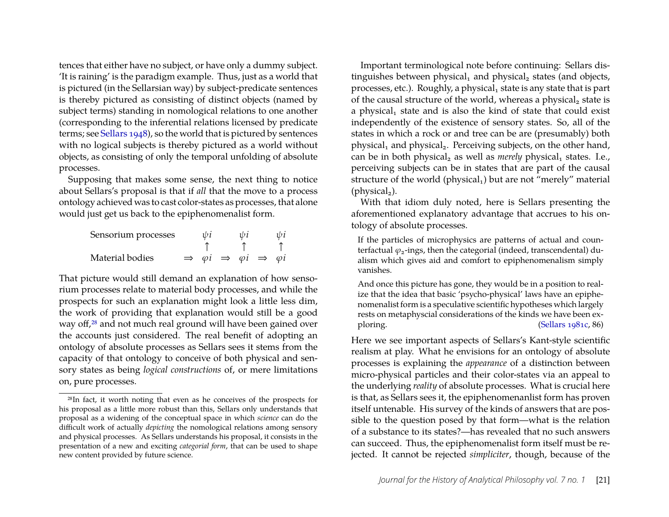tences that either have no subject, or have only a dummy subject. 'It is raining' is the paradigm example. Thus, just as a world that is pictured (in the Sellarsian way) by subject-predicate sentences is thereby pictured as consisting of distinct objects (named by subject terms) standing in nomological relations to one another (corresponding to the inferential relations licensed by predicate terms; see [Sellars](#page-24-13) [1948\)](#page-24-13), so the world that is pictured by sentences with no logical subjects is thereby pictured as a world without objects, as consisting of only the temporal unfolding of absolute processes.

Supposing that makes some sense, the next thing to notice about Sellars's proposal is that if *all* that the move to a process ontology achieved was to cast color-states as processes, that alone would just get us back to the epiphenomenalist form.

| Sensorium processes | ψi |                                                                       | ψi | ψi |
|---------------------|----|-----------------------------------------------------------------------|----|----|
|                     |    |                                                                       |    |    |
| Material bodies     |    | $\Rightarrow$ $\varphi i \Rightarrow \varphi i \Rightarrow \varphi i$ |    |    |

That picture would still demand an explanation of how sensorium processes relate to material body processes, and while the prospects for such an explanation might look a little less dim, the work of providing that explanation would still be a good way off,<sup>[28](#page-21-0)</sup> and not much real ground will have been gained over the accounts just considered. The real benefit of adopting an ontology of absolute processes as Sellars sees it stems from the capacity of that ontology to conceive of both physical and sensory states as being *logical constructions* of, or mere limitations on, pure processes.

Important terminological note before continuing: Sellars distinguishes between physical<sub>1</sub> and physical<sub>2</sub> states (and objects, processes, etc.). Roughly, a physical, state is any state that is part of the causal structure of the world, whereas a physical<sub>2</sub> state is a physical<sub>1</sub> state and is also the kind of state that could exist independently of the existence of sensory states. So, all of the states in which a rock or and tree can be are (presumably) both physical<sub>1</sub> and physical<sub>2</sub>. Perceiving subjects, on the other hand, can be in both physical<sub>2</sub> as well as *merely* physical<sub>1</sub> states. I.e., perceiving subjects can be in states that are part of the causal structure of the world (physical<sub>1</sub>) but are not "merely" material (physical<sub>2</sub>).

With that idiom duly noted, here is Sellars presenting the aforementioned explanatory advantage that accrues to his ontology of absolute processes.

If the particles of microphysics are patterns of actual and counterfactual  $\varphi_2$ -ings, then the categorial (indeed, transcendental) dualism which gives aid and comfort to epiphenomenalism simply vanishes.

And once this picture has gone, they would be in a position to realize that the idea that basic 'psycho-physical' laws have an epiphenomenalist form is a speculative scientific hypotheses which largely rests on metaphyscial considerations of the kinds we have been ex-ploring. [\(Sellars 1981c,](#page-24-3) 86)

Here we see important aspects of Sellars's Kant-style scientific realism at play. What he envisions for an ontology of absolute processes is explaining the *appearance* of a distinction between micro-physical particles and their color-states via an appeal to the underlying *reality* of absolute processes. What is crucial here is that, as Sellars sees it, the epiphenomenanlist form has proven itself untenable. His survey of the kinds of answers that are possible to the question posed by that form—what is the relation of a substance to its states?—has revealed that no such answers can succeed. Thus, the epiphenomenalist form itself must be rejected. It cannot be rejected *simpliciter*, though, because of the

<span id="page-21-0"></span><sup>28</sup>In fact, it worth noting that even as he conceives of the prospects for his proposal as a little more robust than this, Sellars only understands that proposal as a widening of the conceptual space in which *science* can do the difficult work of actually *depicting* the nomological relations among sensory and physical processes. As Sellars understands his proposal, it consists in the presentation of a new and exciting *categorial form*, that can be used to shape new content provided by future science.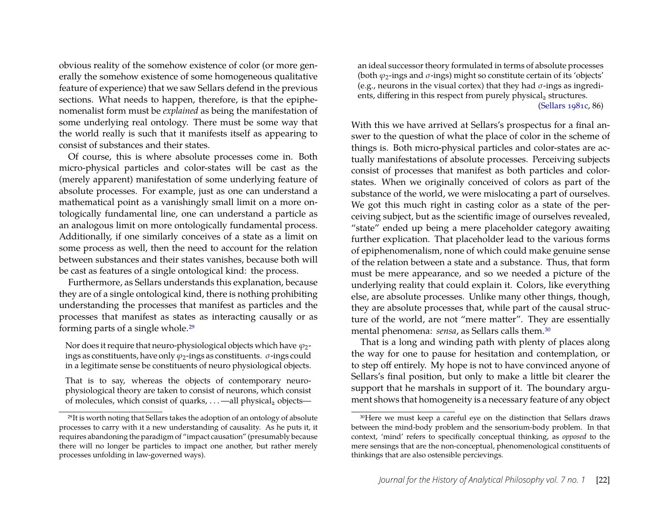obvious reality of the somehow existence of color (or more generally the somehow existence of some homogeneous qualitative feature of experience) that we saw Sellars defend in the previous sections. What needs to happen, therefore, is that the epiphenomenalist form must be *explained* as being the manifestation of some underlying real ontology. There must be some way that the world really is such that it manifests itself as appearing to consist of substances and their states.

Of course, this is where absolute processes come in. Both micro-physical particles and color-states will be cast as the (merely apparent) manifestation of some underlying feature of absolute processes. For example, just as one can understand a mathematical point as a vanishingly small limit on a more ontologically fundamental line, one can understand a particle as an analogous limit on more ontologically fundamental process. Additionally, if one similarly conceives of a state as a limit on some process as well, then the need to account for the relation between substances and their states vanishes, because both will be cast as features of a single ontological kind: the process.

Furthermore, as Sellars understands this explanation, because they are of a single ontological kind, there is nothing prohibiting understanding the processes that manifest as particles and the processes that manifest as states as interacting causally or as forming parts of a single whole.[29](#page-22-0)

Nor does it require that neuro-physiological objects which have  $\varphi_2$ ings as constituents, have only  $\varphi_2$ -ings as constituents.  $\sigma$ -ings could in a legitimate sense be constituents of neuro physiological objects.

That is to say, whereas the objects of contemporary neurophysiological theory are taken to consist of neurons, which consist of molecules, which consist of quarks, ... —all physical<sub>2</sub> objects—

an ideal successor theory formulated in terms of absolute processes (both  $\varphi_2$ -ings and  $\sigma$ -ings) might so constitute certain of its 'objects' (e.g., neurons in the visual cortex) that they had  $\sigma$ -ings as ingredients, differing in this respect from purely physical<sub>2</sub> structures. [\(Sellars 1981c,](#page-24-3) 86)

With this we have arrived at Sellars's prospectus for a final answer to the question of what the place of color in the scheme of things is. Both micro-physical particles and color-states are actually manifestations of absolute processes. Perceiving subjects consist of processes that manifest as both particles and colorstates. When we originally conceived of colors as part of the substance of the world, we were mislocating a part of ourselves. We got this much right in casting color as a state of the perceiving subject, but as the scientific image of ourselves revealed, "state" ended up being a mere placeholder category awaiting further explication. That placeholder lead to the various forms of epiphenomenalism, none of which could make genuine sense of the relation between a state and a substance. Thus, that form must be mere appearance, and so we needed a picture of the underlying reality that could explain it. Colors, like everything else, are absolute processes. Unlike many other things, though, they are absolute processes that, while part of the causal structure of the world, are not "mere matter". They are essentially mental phenomena: *sensa*, as Sellars calls them.[30](#page-22-1)

That is a long and winding path with plenty of places along the way for one to pause for hesitation and contemplation, or to step off entirely. My hope is not to have convinced anyone of Sellars's final position, but only to make a little bit clearer the support that he marshals in support of it. The boundary argument shows that homogeneity is a necessary feature of any object

<span id="page-22-0"></span><sup>29</sup>It is worth noting that Sellars takes the adoption of an ontology of absolute processes to carry with it a new understanding of causality. As he puts it, it requires abandoning the paradigm of "impact causation" (presumably because there will no longer be particles to impact one another, but rather merely processes unfolding in law-governed ways).

<span id="page-22-1"></span><sup>30</sup>Here we must keep a careful eye on the distinction that Sellars draws between the mind-body problem and the sensorium-body problem. In that context, 'mind' refers to specifically conceptual thinking, as *opposed* to the mere sensings that are the non-conceptual, phenomenological constituents of thinkings that are also ostensible percievings.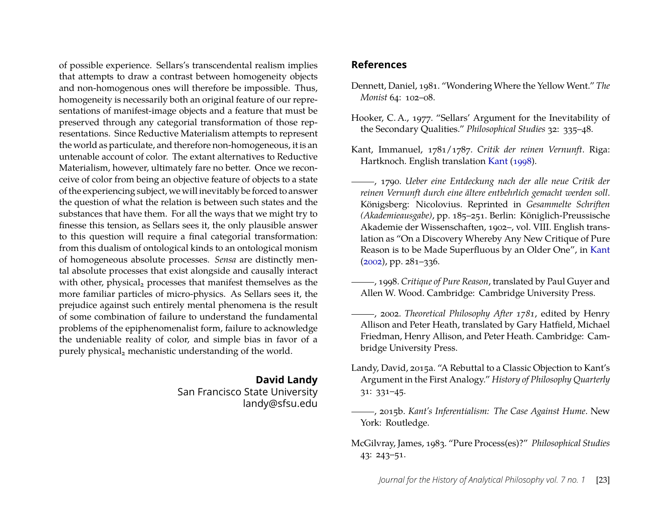of possible experience. Sellars's transcendental realism implies that attempts to draw a contrast between homogeneity objects and non-homogenous ones will therefore be impossible. Thus, homogeneity is necessarily both an original feature of our representations of manifest-image objects and a feature that must be preserved through any categorial transformation of those representations. Since Reductive Materialism attempts to represent the world as particulate, and therefore non-homogeneous, it is an untenable account of color. The extant alternatives to Reductive Materialism, however, ultimately fare no better. Once we reconceive of color from being an objective feature of objects to a state of the experiencing subject, we will inevitably be forced to answer the question of what the relation is between such states and the substances that have them. For all the ways that we might try to finesse this tension, as Sellars sees it, the only plausible answer to this question will require a final categorial transformation: from this dualism of ontological kinds to an ontological monism of homogeneous absolute processes. *Sensa* are distinctly mental absolute processes that exist alongside and causally interact with other, physical, processes that manifest themselves as the more familiar particles of micro-physics. As Sellars sees it, the prejudice against such entirely mental phenomena is the result of some combination of failure to understand the fundamental problems of the epiphenomenalist form, failure to acknowledge the undeniable reality of color, and simple bias in favor of a purely physical<sub>2</sub> mechanistic understanding of the world.

### **David Landy** San Francisco State University

landy@sfsu.edu

## **References**

- <span id="page-23-1"></span>Dennett, Daniel, 1981. "Wondering Where the Yellow Went." *The Monist* 64: 102–08.
- <span id="page-23-2"></span>Hooker, C. A., 1977. "Sellars' Argument for the Inevitability of the Secondary Qualities." *Philosophical Studies* 32: 335–48.
- <span id="page-23-4"></span>Kant, Immanuel, 1781/1787. *Critik der reinen Vernunft*. Riga: Hartknoch. English translation [Kant](#page-23-7) [\(1998\)](#page-23-7).

<span id="page-23-5"></span>, 1790. *Ueber eine Entdeckung nach der alle neue Critik der reinen Vernunft durch eine ältere entbehrlich gemacht werden soll*. Königsberg: Nicolovius. Reprinted in *Gesammelte Schriften (Akademieausgabe)*, pp. 185–251. Berlin: Königlich-Preussische Akademie der Wissenschaften, 1902–, vol. VIII. English translation as "On a Discovery Whereby Any New Critique of Pure Reason is to be Made Superfluous by an Older One", in [Kant](#page-23-8) [\(2002\)](#page-23-8), pp. 281–336.

- <span id="page-23-7"></span>, 1998. *Critique of Pure Reason*, translated by Paul Guyer and Allen W. Wood. Cambridge: Cambridge University Press.
- <span id="page-23-8"></span>, 2002. *Theoretical Philosophy After 1781*, edited by Henry Allison and Peter Heath, translated by Gary Hatfield, Michael Friedman, Henry Allison, and Peter Heath. Cambridge: Cambridge University Press.
- <span id="page-23-0"></span>Landy, David, 2015a. "A Rebuttal to a Classic Objection to Kant's Argument in the First Analogy." *History of Philosophy Quarterly* 31: 331–45.
- <span id="page-23-6"></span>, 2015b. *Kant's Inferentialism: The Case Against Hume*. New York: Routledge.
- <span id="page-23-3"></span>McGilvray, James, 1983. "Pure Process(es)?" *Philosophical Studies* 43: 243–51.